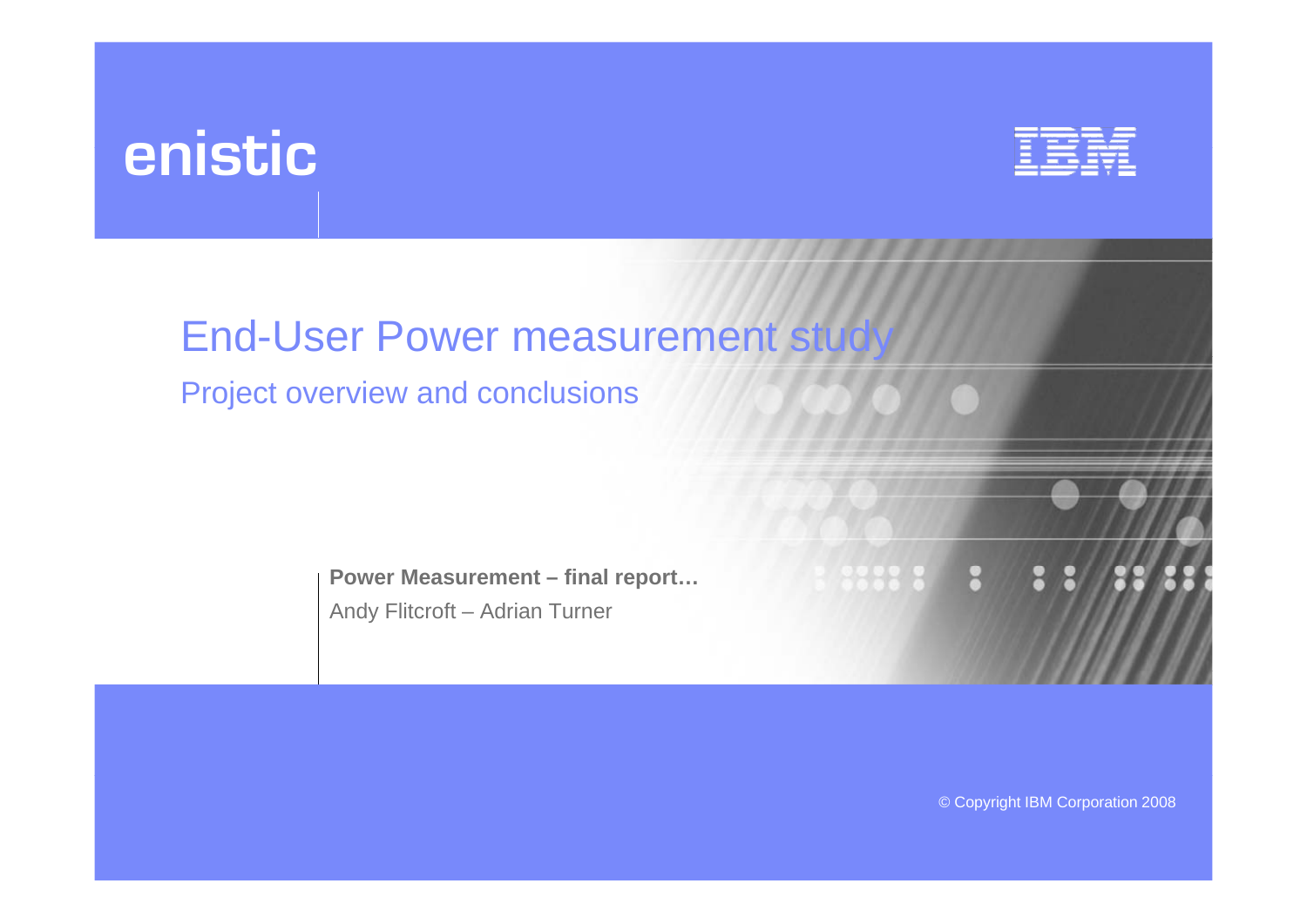# **enistic**



# **End-User Power measurement st**

Project overview and conclusions

**Power Measurement – final report…** Andy Flitcroft – Adrian Turner

© Copyright IBM Corporation 2008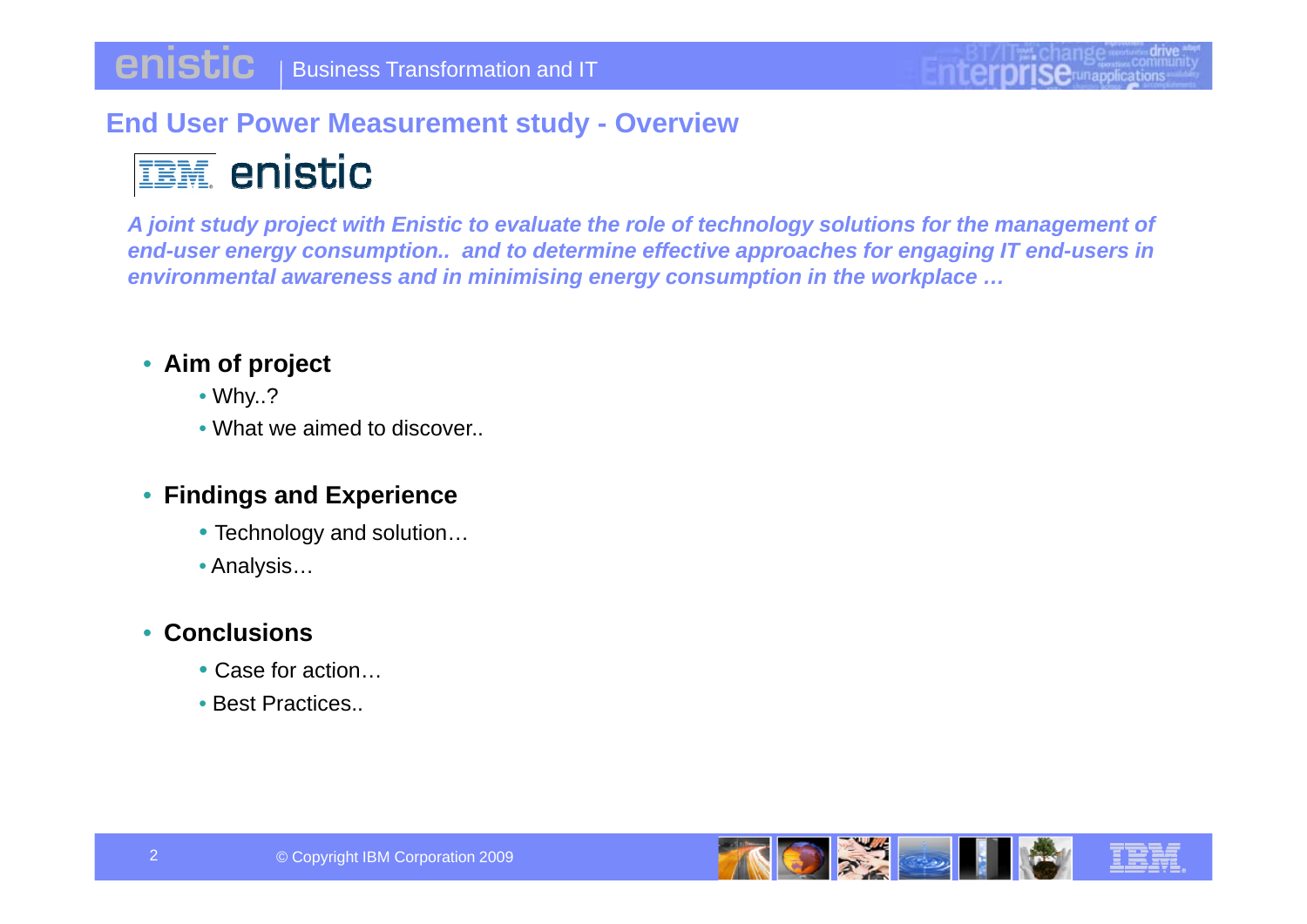# **End User Power Measurement study - Overview**

# **IBM** enistic

*A joint study project with Enistic to evaluate the role of technology solutions for the management of*  end-user energy consumption.. and to determine effective approaches for engaging IT end-users in *environmental awareness and in minimising energy consumption in the workplace …*

#### **Ai f j t** • **Aim of project**

- Why..?
- What we aimed to discover..

#### • **Findings and Experience**

- Technology and solution...
- Analysis…

#### • **Conclusions**

- $\bullet$  Case for action...
- Best Practices..

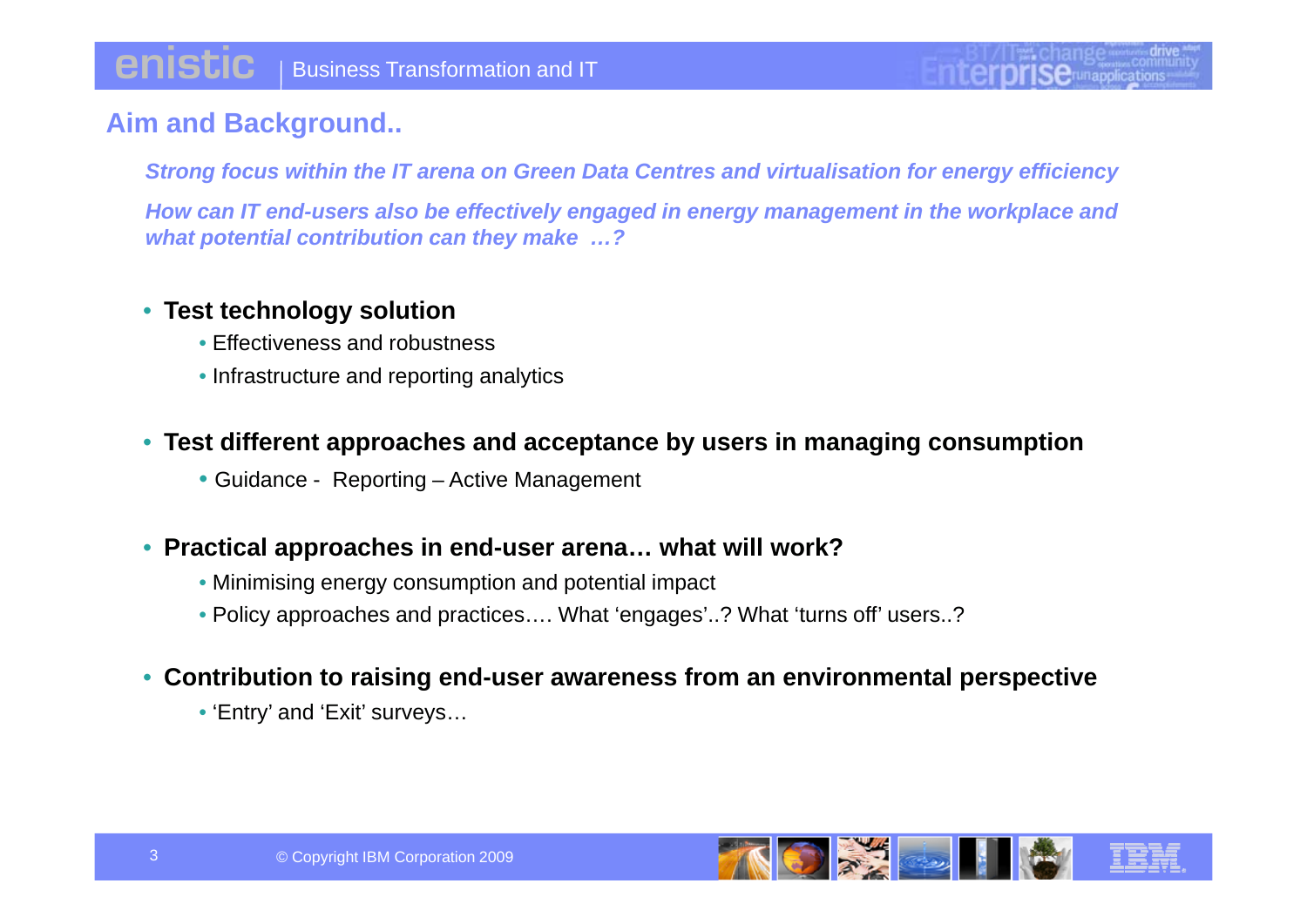#### **Aim and Background..**

*Strong focus within the IT arena on Green Data Centres and virtualisation for energy efficiency How can IT end-users also be effectively engaged in energy management in the workplace and what potential contribution can they make …?*

#### • **Test technology solution**

- Effectiveness and robustness
- Infrastructure and reporting analytics
- **Test different approaches and acceptance by users in managing consumption**
	- Guidance Reporting Active Management

#### • **Practical approaches in end-user arena… what will work?**

- Minimising energy consumption and potential impact
- Policy approaches and practices.... What 'engages'..? What 'turns off' users..?

#### • Contribution to raising end-user awareness from an environmental perspective

• 'Entry' and 'Exit' surveys…



 $e<sub>n</sub>$  explications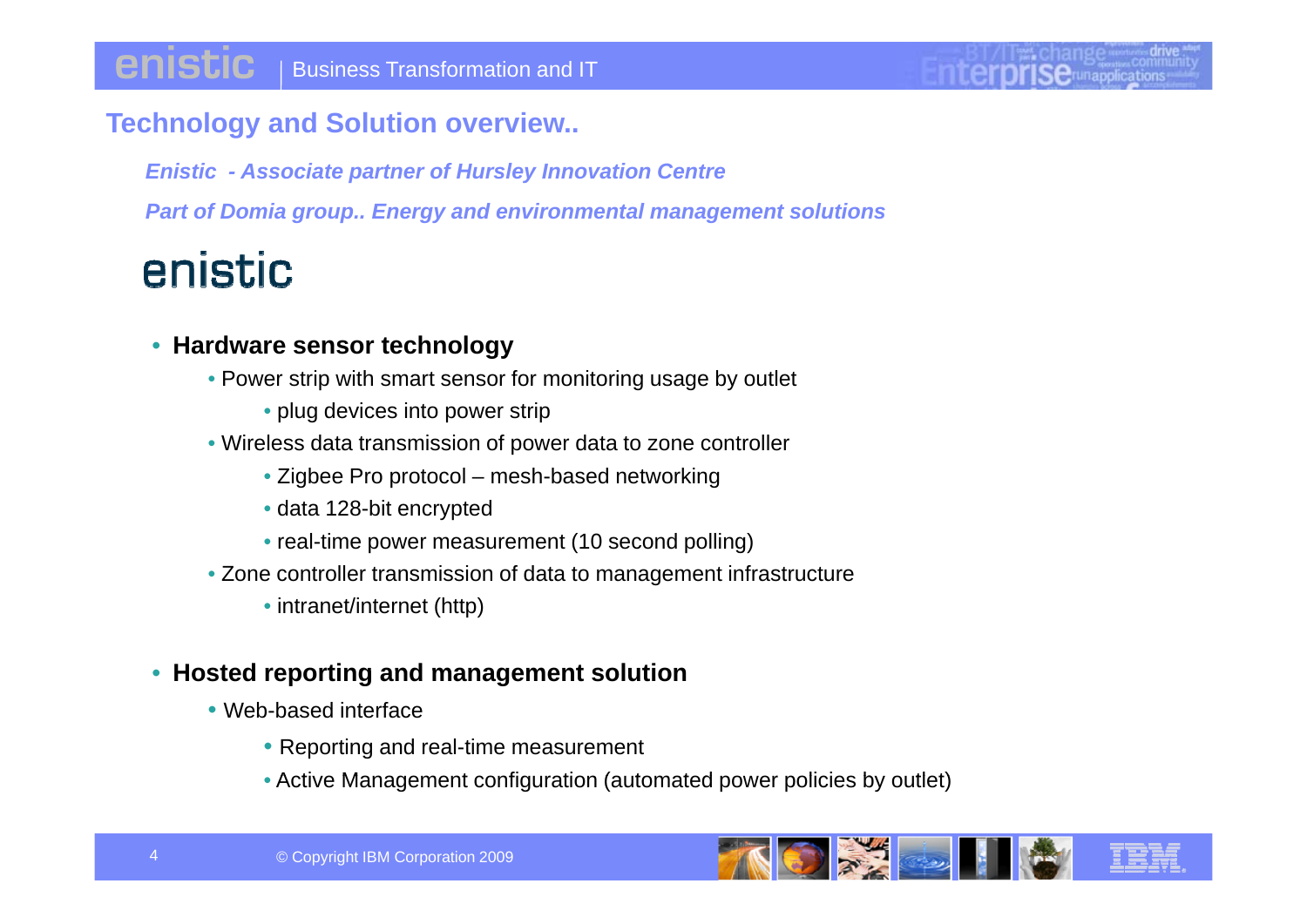# **Technology and Solution overview..**

*Enistic - Associate partner of Hursley Innovation Centre*

*Part of Domia group.. Energy and environmental management solutions* 

# enistic

#### • **Hardware sensor technology**

- Power strip with smart sensor for monitoring usage by outlet
	- plug devices into power strip
- Wireless data transmission of power data to zone controller
	- Zigbee Pro protocol mesh-based networking
	- data 128-bit encrypted
	- real-time power measurement (10 second polling)
- Zone controller transmission of data to management infrastructure
	- intranet/internet (http)

#### • **Hosted reporting and management solution**

- Web-based interface
	- Reporting and real-time measurement
	- Active Management configuration (automated power policies by outlet)

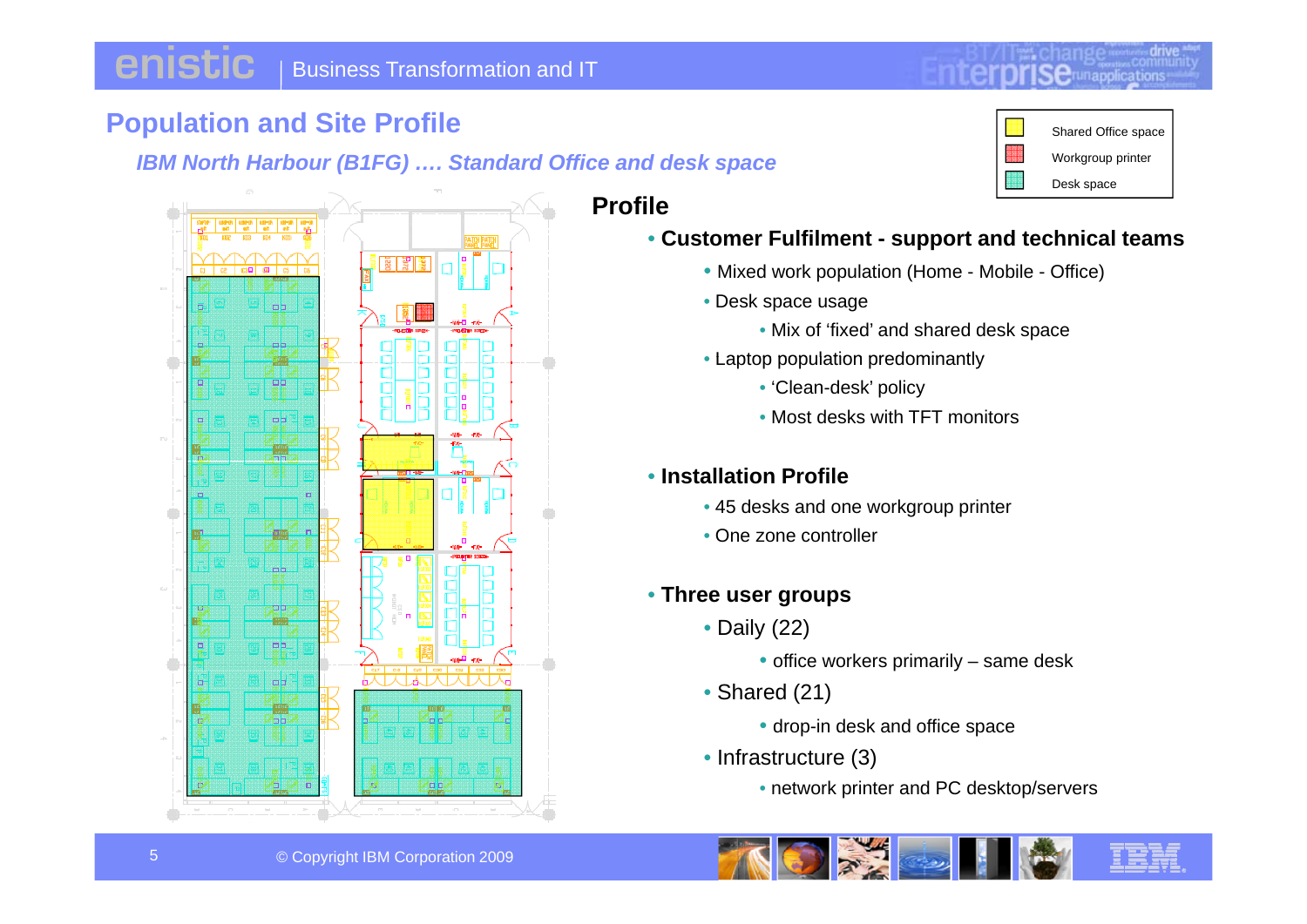# **Population and Site Profile** Shared Office space

*IBM North Harbour (B1FG) …. Standard Office and desk space*



#### **Profile**



**e**runapplications

#### • **Customer Fulfilment - support and technical teams**

- Mixed work population (Home Mobile Office)
- Desk space usage
	- Mix of 'fixed' and shared desk space
- Laptop population predominantly
	- 'Clean-desk' policy
	- Most desks with TFT monitors

#### • **Installation Profile**

- 45 desks and one workgroup printer
- One zone controller

#### • **Three user groups**

- Daily (22)
	- $\bullet$  office workers primarily same desk
- Shared (21)
	- drop-in desk and office space

**AND CONDENS** 

- Infrastructure (3)
	- network printer and PC desktop/servers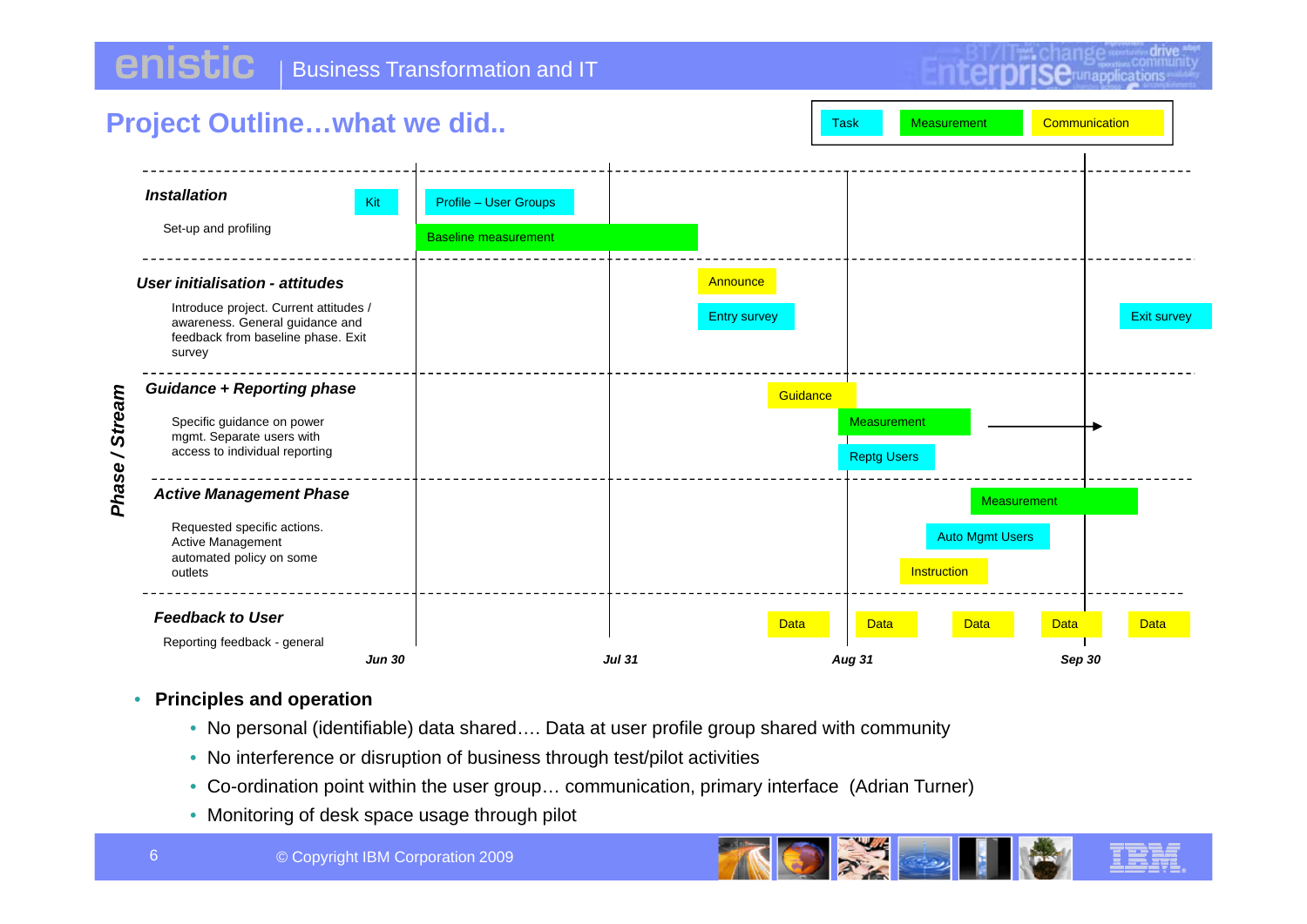**enistic** Business Transformation and IT **Se**runapplications **Project Outline…what we did..** Task The Measurement Communication *Installation*Profile – User Groups n kit Set-up and profiling Baseline measurement*User initialisation - attitudes***Announce** Introduce project. Current attitudes / awareness. General guidance and awareness. General guidance and and are  $\blacksquare$ Exit survey feedback from baseline phase. Exit survey *Guidance + Reporting phase* Specific guidance on power and the specific guidance on power mgmt. Separate users with access to individual reporting **Measurement** access to individual reporting **and the specific guidance** o Parameters to individual reporting<br> **Phase active Management Phase** Measurement<br> **Active Management Phase** Measurement episode Measurement explorers and the measurement of the measurement of the measurement of the measure Auto Mgmt Users Requested specific actions. Active Management automated policy on some **Instruction** outlets

#### • **Principles and operation**

Reporting feedback - general

*Feedback to User*

• No personal (identifiable) data shared.... Data at user profile group shared with community

die die Soos-Afrikaanse koning van die Grootse koning van die Soos-Afrikaanse koning van die <mark>Data</mark>

- No interference or disruption of business through test/pilot activities
- Co-ordination point within the user group… communication, primary interface (Adrian Turner)

*Jul 31 Aug 31 Sep 30*

**Data** 

**Data** 

• Monitoring of desk space usage through pilot

*Jun 30*

6



Data Data



Data

**STRITH IT**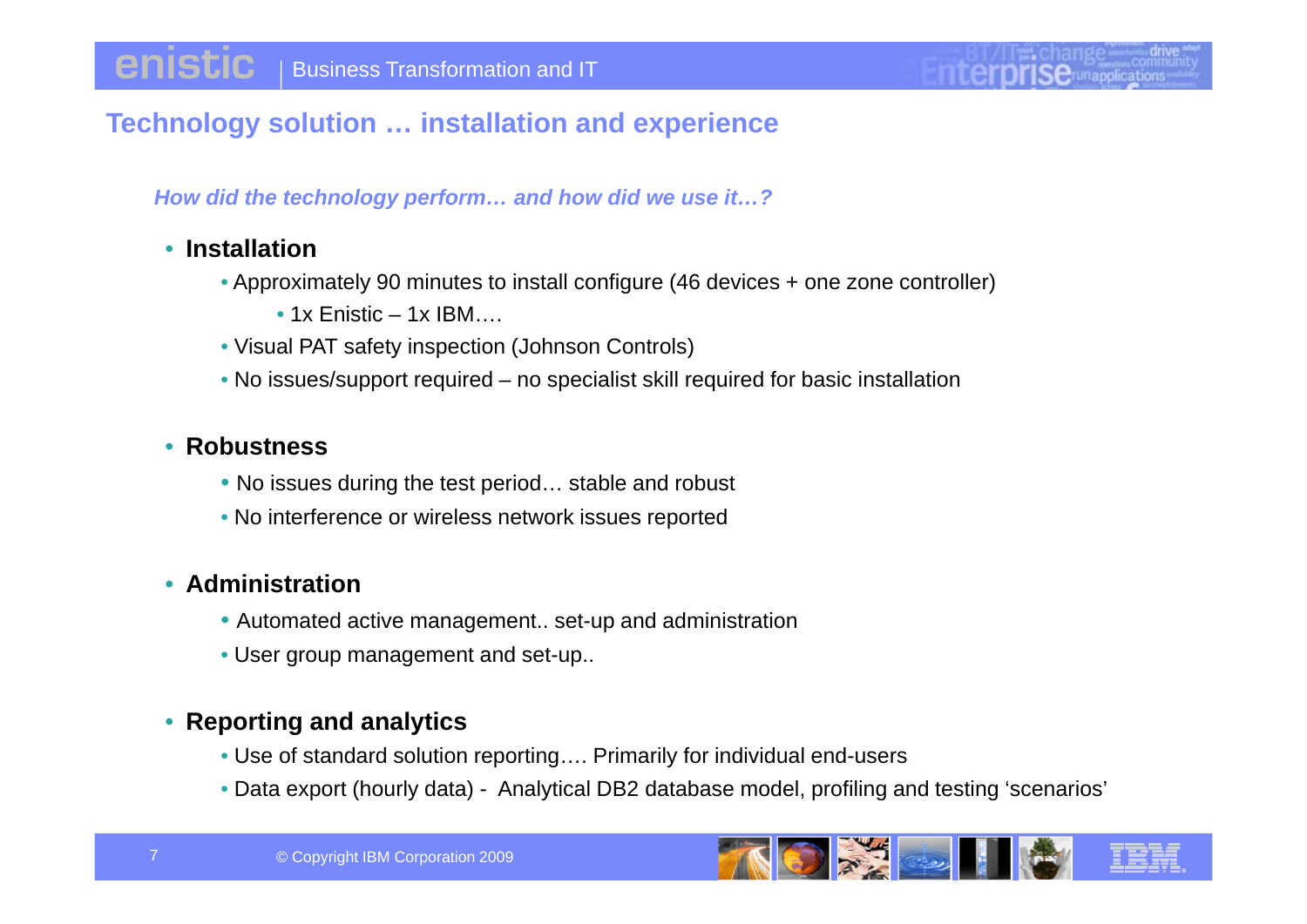# **Technology solution … installation and experience**

*How did the technology perform… and how did we use it…?*

- **Installation**
	- Approximately 90 minutes to install configure (46 devices + one zone controller)
		- 1x Enistic 1x IBM….
	- Visual PAT safety inspection (Johnson Controls)
	- No issues/support required no specialist skill required for basic installation

#### • **Robustness**

- No issues during the test period… stable and robust
- No interference or wireless network issues reported

#### • **Administration**

- Automated active management.. set-up and administration
- User group management and set-up..

#### • **Reporting and analytics**

- Use of standard solution reporting…. Primarily for individual end-users
- Data export (hourly data) Analytical DB2 database model, profiling and testing 'scenarios'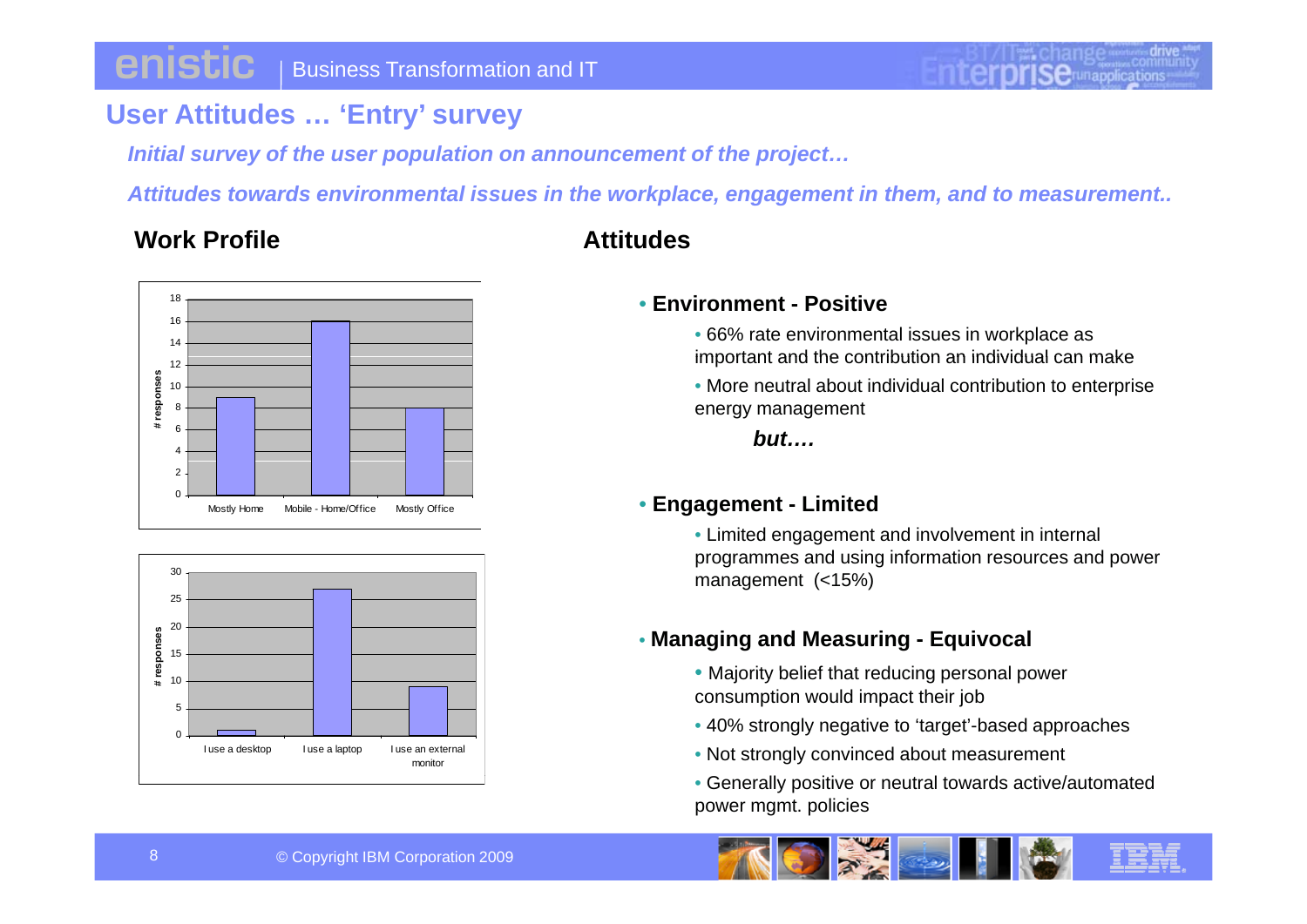# **Se**runapplications

# **User Attitudes … 'Entry' survey**

Initial survey of the user population on announcement of the project...

*Attitudes towards environmental issues in the workplace, engagement in them, and to measurement..* 

#### **Work Profile**





#### **Attitudes**

#### • **Environment - Positive**

- 66% rate environmental issues in workplace as important and the contribution an individual can make
- More neutral about individual contribution to enterprise energy management
	- *but….*

#### • **Engagement - Limited**

• Limited engagement and involvement in internal programmes and using information resources and power management (<15%)

- Majority belief that reducing personal power consumption would impact their job
- 40% strongly negative to 'target'-based approaches
- Not strongly convinced about measurement
- Generally positive or neutral towards active/automated power mgmt. policies



8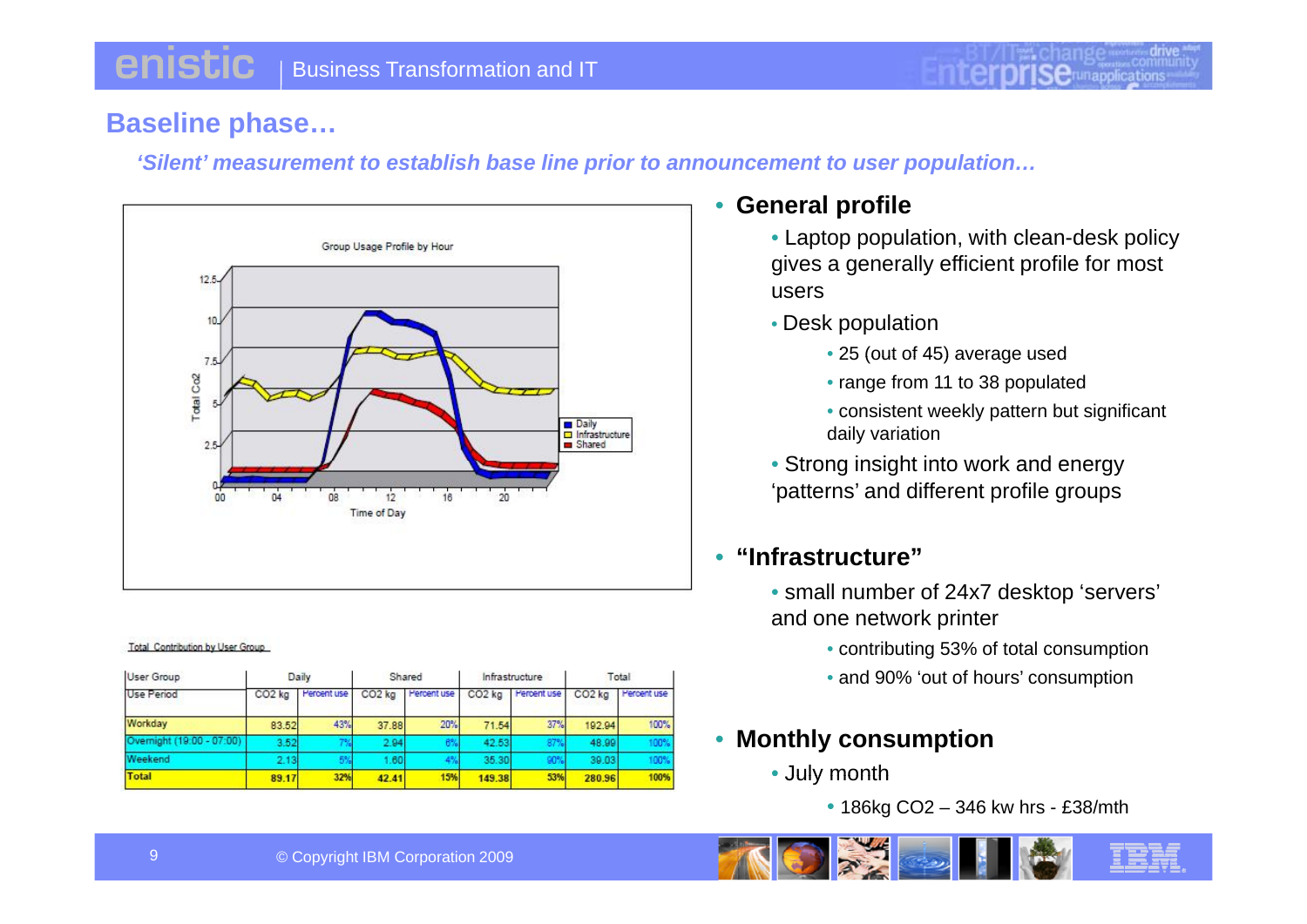#### **Baseline phase…**

*'Silent' measurement to establish base line prior to announcement to user population…*



#### Total Contribution by User Group

| User Group                |          | Daily              |                    | Shared             |          | Infrastructure     |                    | Total              |
|---------------------------|----------|--------------------|--------------------|--------------------|----------|--------------------|--------------------|--------------------|
| Use Period                | $CO2$ kg | <b>Hercent use</b> | CO <sub>2</sub> kg | <b>Hercent use</b> | $CO2$ kg | <b>Percent use</b> | CO <sub>2</sub> kg | <b>Hercent use</b> |
| Workday                   | 83.52    | 43%                | 37.88              | 20%                | 71.54    | 37%                | 192.94             | 100%               |
| Overnight (19:00 - 07:00) | 3.52     |                    | 2.94               | 6%                 | 42.53    | 87%                | 48.99              | 100%               |
| Weekend                   | 2.13     | 5%                 | 1.60               | 4%                 | 35.30    | 90%                | 39.03              | 100%               |
| <b>Total</b>              | 89.17    | 32%                | 42.41              | 15%                | 149.38   | 53%                | 280.96             | 100%               |

#### • **General profile**

- Laptop population, with clean-desk policy gives a generally efficient profile for most users
- Desk population
	- 25 (out of 45) average used
	- range from 11 to 38 populated

• consistent weekly pattern but significant daily variation

• Strong insight into work and energy 'patterns' and different profile groups

#### • **"Infrast uctu e ructure"**

- small number of 24x7 desktop 'servers' and one network printer
	- contributing 53% of total consumption
	- and 90% 'out of hours' consumption

#### • **Monthly consumption**

- July month
	- 186kg CO2 346 kw hrs £38/mth

9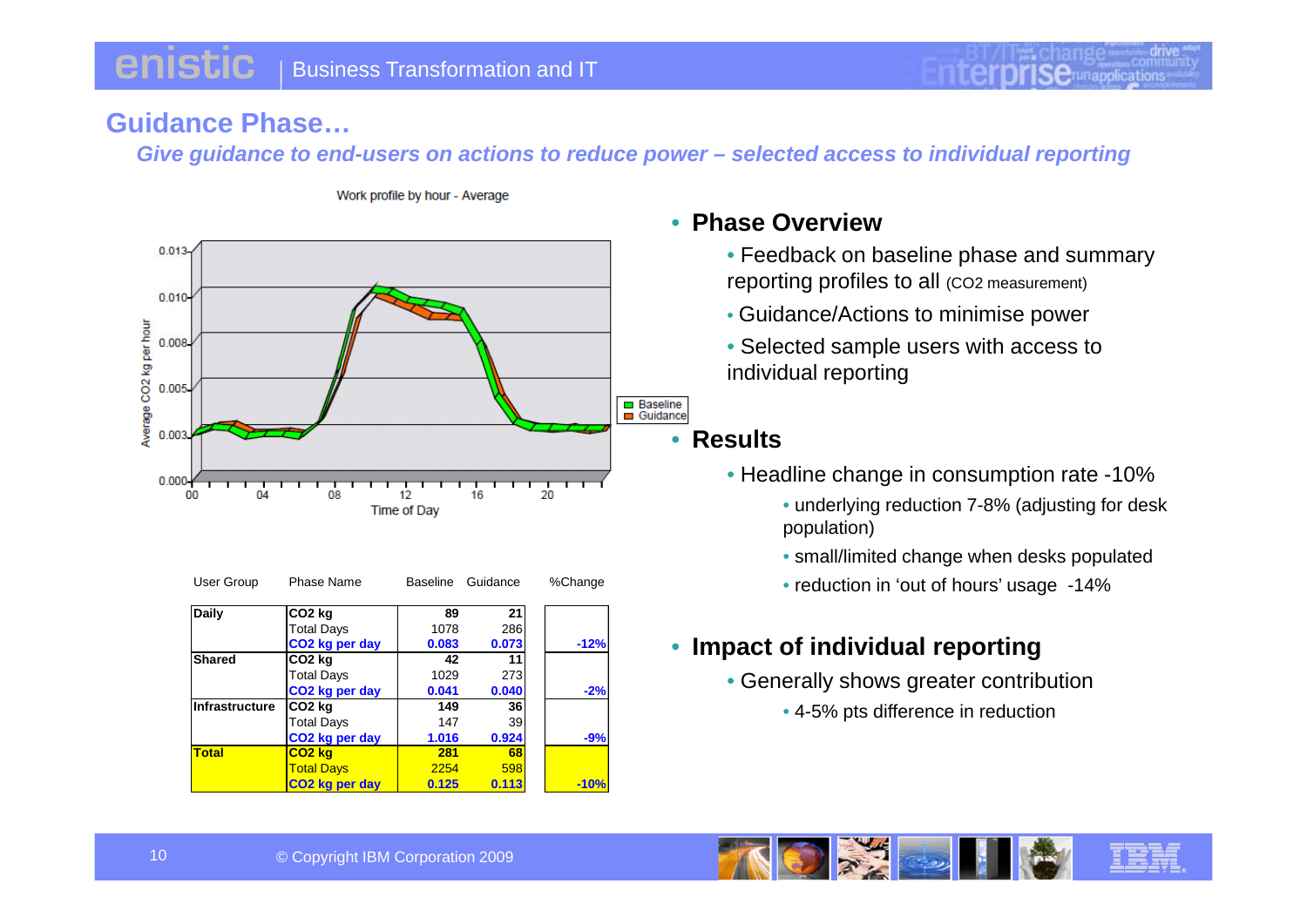#### **Guidance Phase…**

Give guidance to end-users on actions to reduce power – selected access to individual reporting



Work profile by hour - Average

#### User Group Phase Name Baseline Guidance %Change **Daily CO2 kg 89 21** Total Days | 1078 286 **CO2 kg per day 0.083 0.073 -12% Shared CO2 kg 42 11** Total Days | 1029 273 1029 273 **CO2 kg per day 0.041 0.040 -2% Infrastructure CO2 kg 149 36** Total Days | 147 39 **CO2 kg per day 1.016 0.924 -9% Total CO2 kg 281 68** Total Days 2254 598 y **CO2 kg per day 0.125 0.113 -10%**

#### • **Phase Overview**

- Feedback on baseline phase and summary reporting profiles to all (CO2 measurement)
- Guidance/Actions to minimise power
- Selected sample users with access to individual reporting

#### • **Results**

- Headline change in consumption rate -10%
	- underlying reduction 7-8% (adjusting for desk population)
	- small/limited change when desks populated
	- reduction in 'out of hours' usage -14%

# • **Impact of individual reporting**

- Generally shows greater contribution
	- 4-5% pts difference in reduction

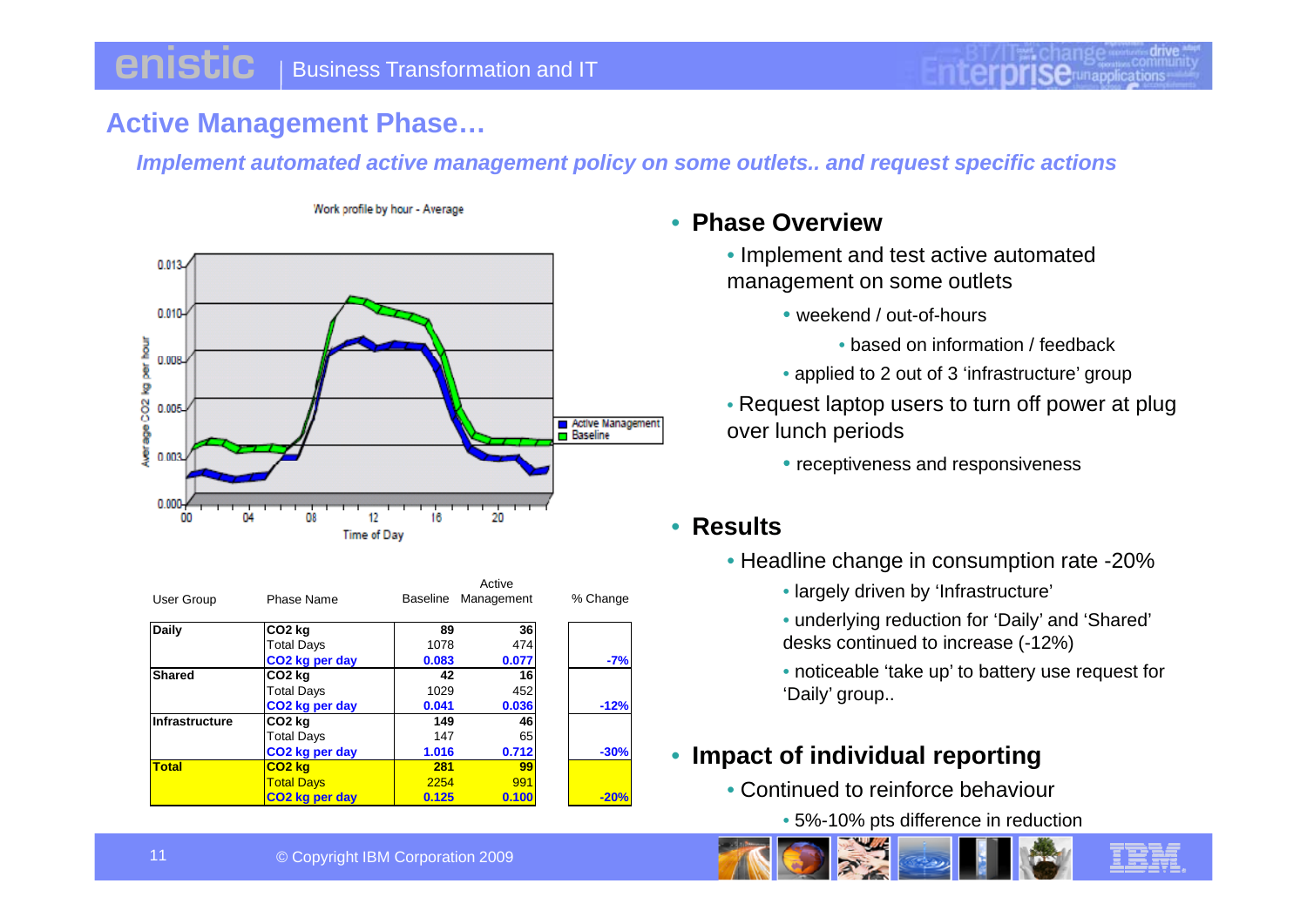### **Active Management Phase…**

*Implement automated active management policy on some outlets.. and request specific actions* 



#### Work profile by hour - Average

| User Group            | Phase Name                                                            |                      | Active<br>Baseline Management | % Change | • largely driven by 'Infrastructure'                                                  |
|-----------------------|-----------------------------------------------------------------------|----------------------|-------------------------------|----------|---------------------------------------------------------------------------------------|
| <b>Daily</b>          | CO <sub>2</sub> kg<br><b>Total Days</b><br>CO <sub>2</sub> kg per day | 89<br>1078<br>0.083  | 36<br>474<br>0.077            | $-7%$    | • underlying reduction for 'Daily' and 'Shared'<br>desks continued to increase (-12%) |
| <b>Shared</b>         | CO2 kg<br><b>Total Days</b><br>CO <sub>2</sub> kg per day             | 42<br>1029<br>0.041  | 16<br>452<br>0.036            | $-12%$   | • noticeable 'take up' to battery use request for<br>'Daily' group                    |
| <b>Infrastructure</b> | CO <sub>2</sub> kg<br><b>Total Days</b><br>CO <sub>2</sub> kg per day | 149<br>147<br>1.016  | 46<br>65<br>0.712             | $-30%$   | • Impact of individual reporting                                                      |
| Total                 | CO <sub>2</sub> ka<br><b>Total Days</b><br>CO2 kg per day             | 281<br>2254<br>0.125 | 99<br>991<br>0.100            | $-20%$   | • Continued to reinforce behaviour                                                    |

#### • **Phase Overview**

- Implement and test active automated management on some outlets
	- weekend / out-of-hours
		- based on information / feedback
	- applied to 2 out of 3 'infrastructure' group
- Request laptop users to turn off power at plug over lunch periods
	- $\bullet$  receptiveness and responsiveness

#### • **Results**

- Headline change in consumption rate -20%<br>• Iargely driven by 'Infrastructure'
	- largely driven by 'Infrastructure'
	- underlying reduction for 'Daily' and 'Shared' desks continued to increase (-12%)
	- 'Daily' group..

#### • **Impact of individual reporting**

- **CO2 kg per day 0.125 0.100 -20%** Continued to reinforce behaviour
	- 5%-10% pts difference in reduction



11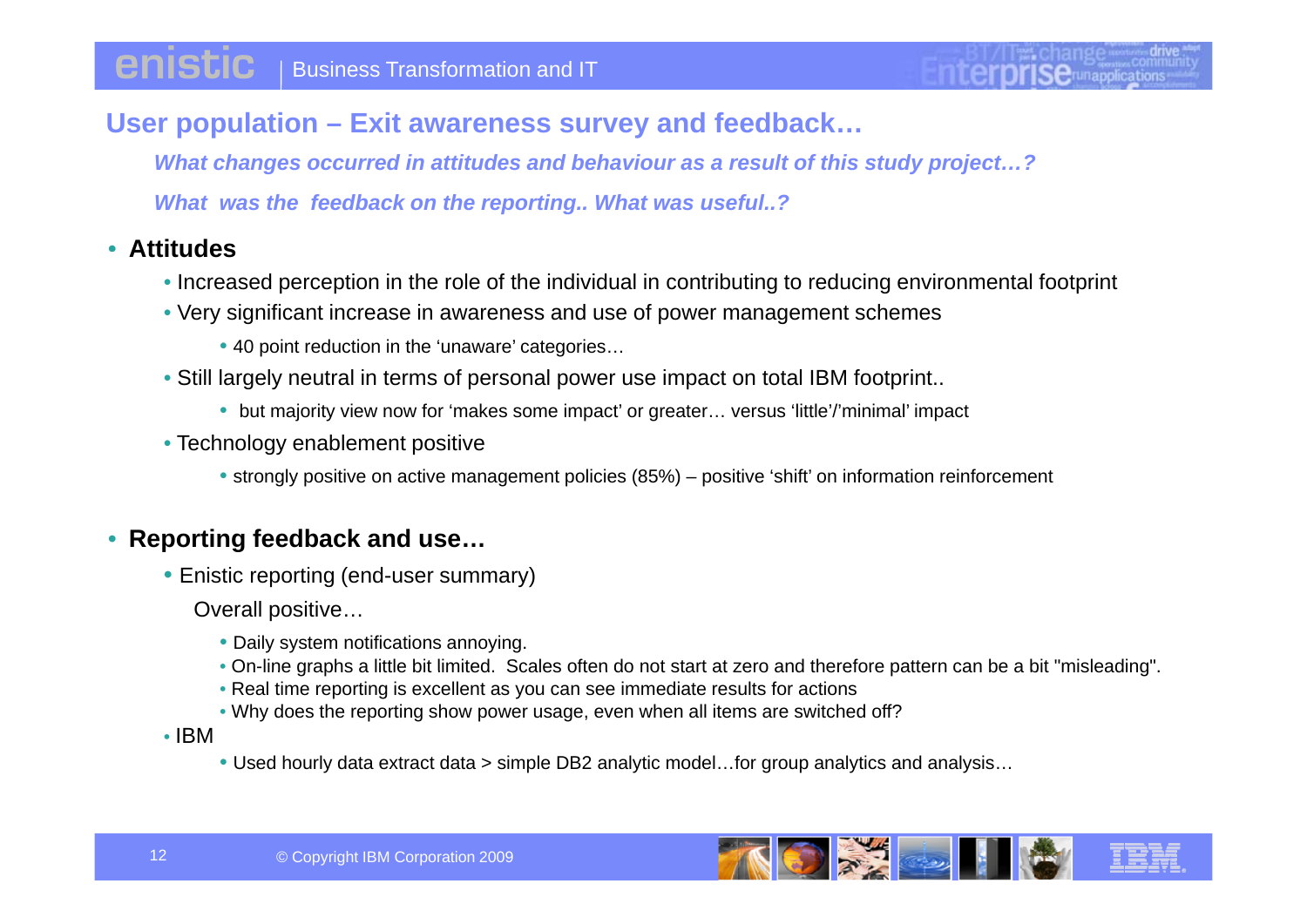#### **User population – Exit awareness survey and feedback…**

*What changes occurred in attitudes and behaviour as a result of this study project…?*

*What was the feedback on the reporting.. What was useful..?*

#### • **Attitudes**

- Increased perception in the role of the individual in contributing to reducing environmental footprint
- Very significant increase in awareness and use of power management schemes
	- 40 point reduction in the 'unaware' categories...
- Still largely neutral in terms of personal power use impact on total IBM footprint..
	- but majority view now for 'makes some impact' or greater... versus 'little'/'minimal' impact
- Technology enablement positive
	- strongly positive on active management policies (85%) positive 'shift' on information reinforcement

#### • **Reporting feedback and use…**

• Enistic reporting (end-user summary)

Overall positive…

- Daily system notifications annoying.
- On-line graphs a little bit limited. Scales often do not start at zero and therefore pattern can be a bit "misleading".
- Real time reporting is excellent as you can see immediate results for actions
- Why does the reporting show power usage, even when all items are switched off?
- IBM
- Used hourly data extract data > simple DB2 analytic model...for group analytics and analysis...

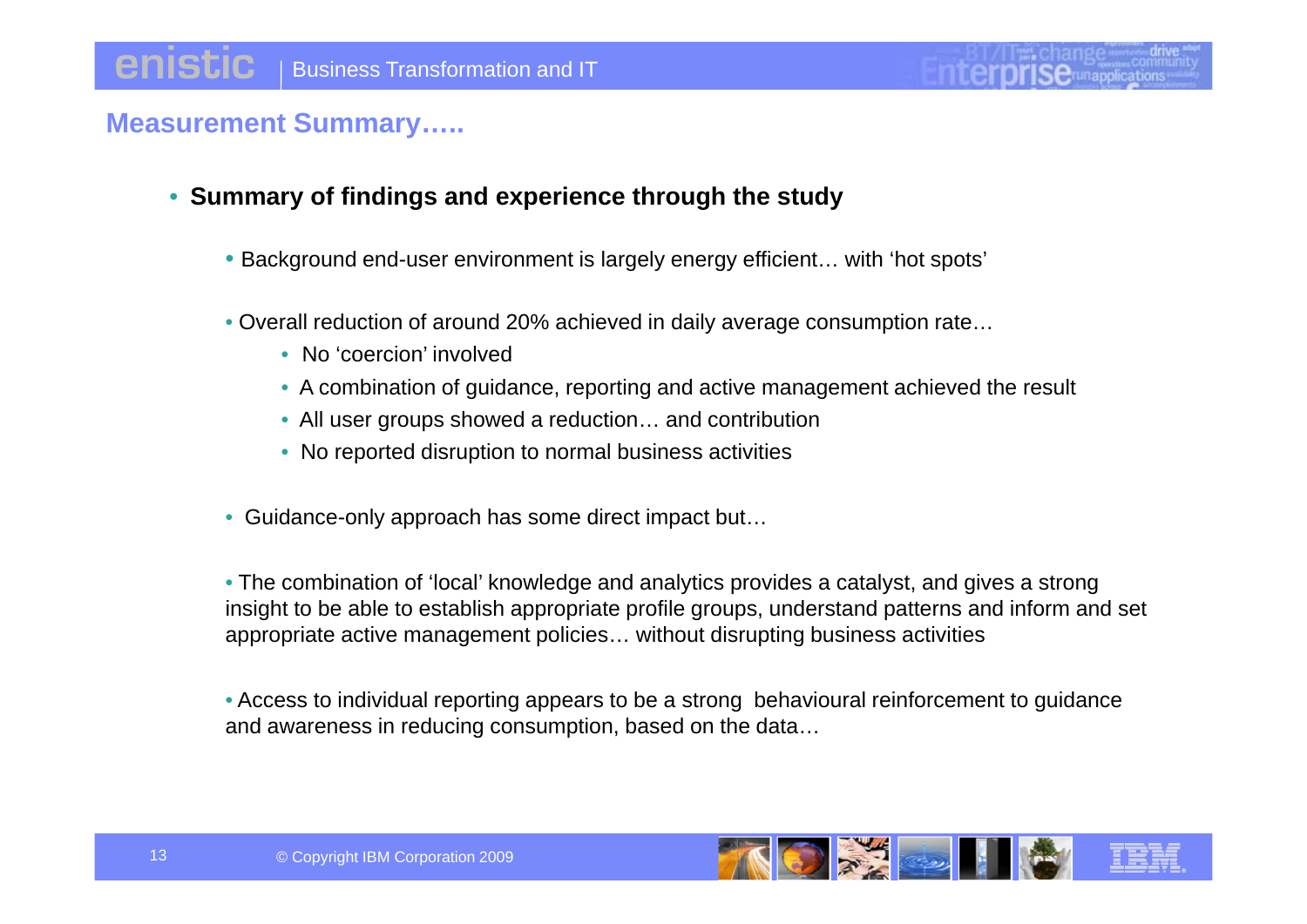#### **Measurement Summary…..**

- **Summary of findings and experience through the study**
	- $\bullet$  Background end-user environment is largely energy efficient… with 'hot spots'
	- Overall reduction of around 20% achieved in daily average consumption rate…
		- No 'coercion' involved
		- A combination of guidance, reporting and active management achieved the result
		- All user groups showed a reduction… and contribution
		- No reported disruption to normal business activities
	- Guidance-only approach has some direct impact but…

• The combination of 'local' knowledge and analytics provides a catalyst, and gives a strong insight to be able to establish appropriate profile groups, understand patterns and inform and set appropriate active management policies… without disrupting business activities

• Access to individual reporting appears to be a strong behavioural reinforcement to guidance and awareness in reducing consumption, based on the data…

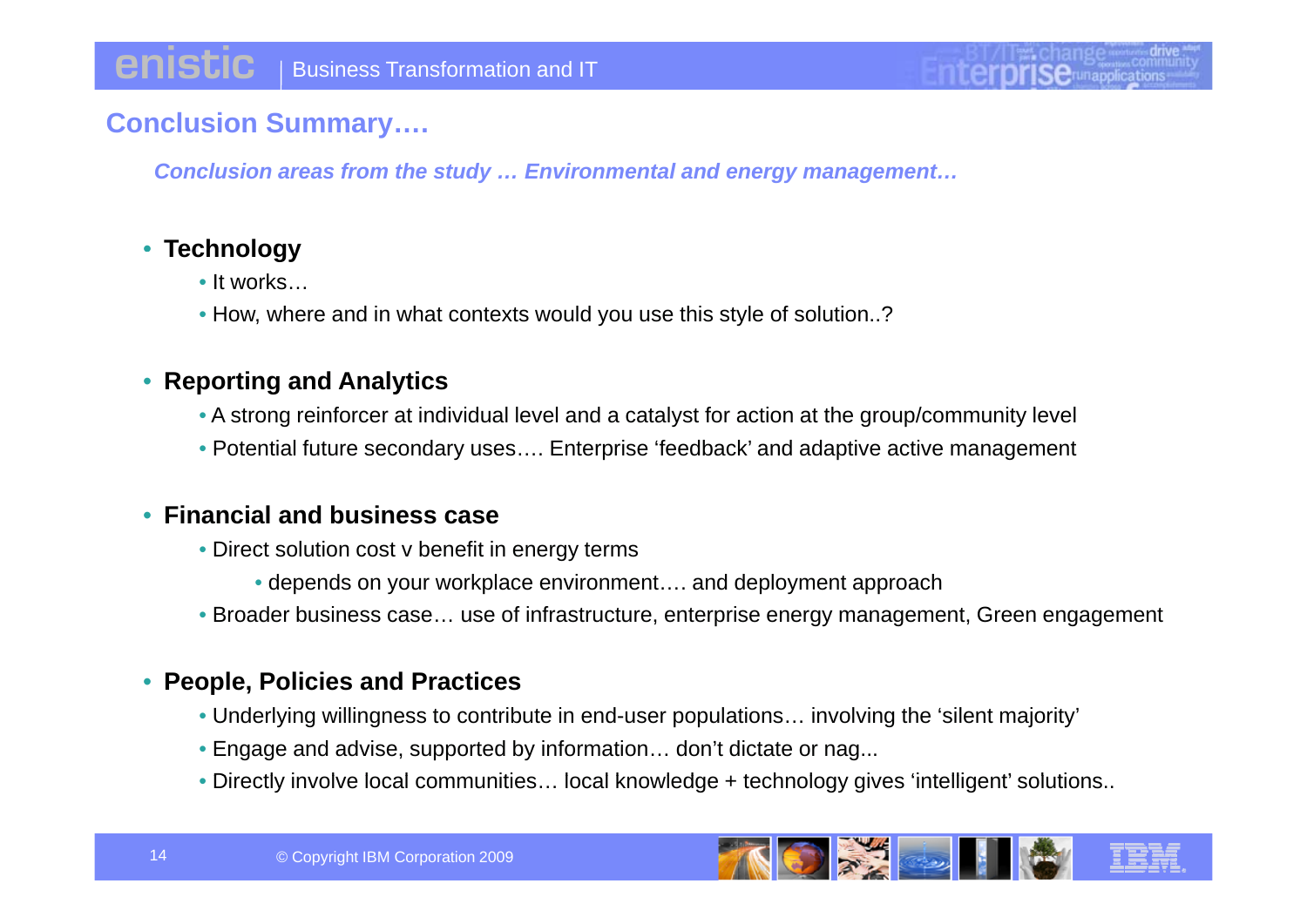### **Conclusion Summary….**

*Conclusion areas from the study … Environmental and energy management…* 

#### • **Technology**

- It works...
- How, where and in what contexts would you use this style of solution..?

#### • **Reporting and Analytics**

- A strong reinforcer at individual level and a catalyst for action at the group/community level
- Potential future secondary uses…. Enterprise 'feedback' and adaptive active management

#### • **Financial and business case**

- Direct solution cost v benefit in energy terms
	- depends on your workplace environment…. and deployment approach
- Broader business case… use of infrastructure, enterprise energy management, Green engagement

#### • **People, Policies and Practices**

- Underlying willingness to contribute in end-user populations... involving the 'silent majority'
- Engage and advise, supported by information… don't dictate or nag...
- Directly involve local communities... local knowledge + technology gives 'intelligent' solutions..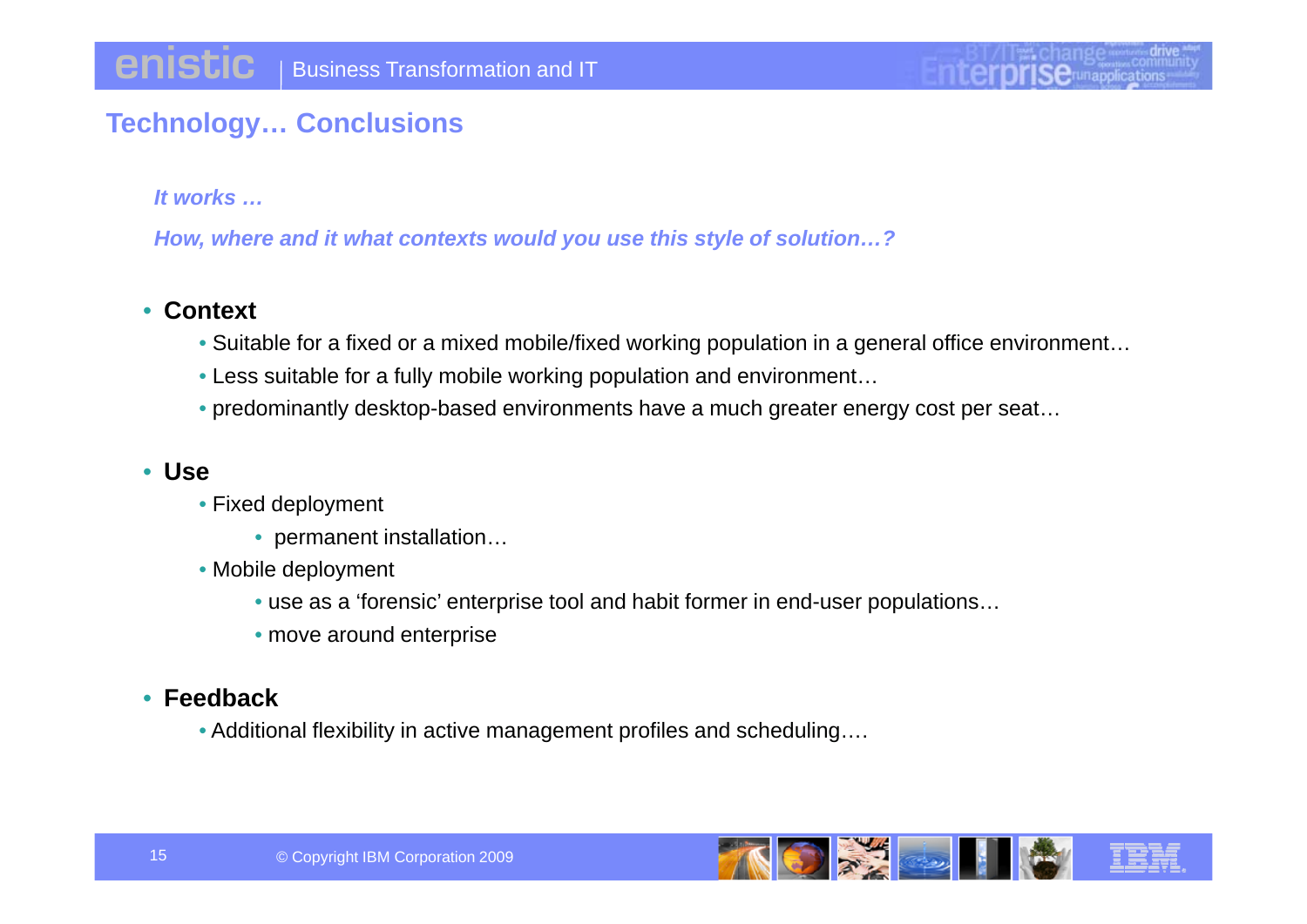### **Technology… Conclusions**

#### *It works …*

*How, where and it what contexts would you use this style of solution…?*

#### • **Context**

- Suitable for a fixed or a mixed mobile/fixed working population in a general office environment…
- Less suitable for a fully mobile working population and environment…
- predominantly desktop-based environments have a much greater energy cost per seat...

#### • **Use**

- Fixed deployment
	- permanent installation...
- Mobile deployment
	- use as a 'forensic' enterprise tool and habit former in end-user populations…
	- move around enterprise

#### • **Feedback**

• Additional flexibility in active management profiles and scheduling….

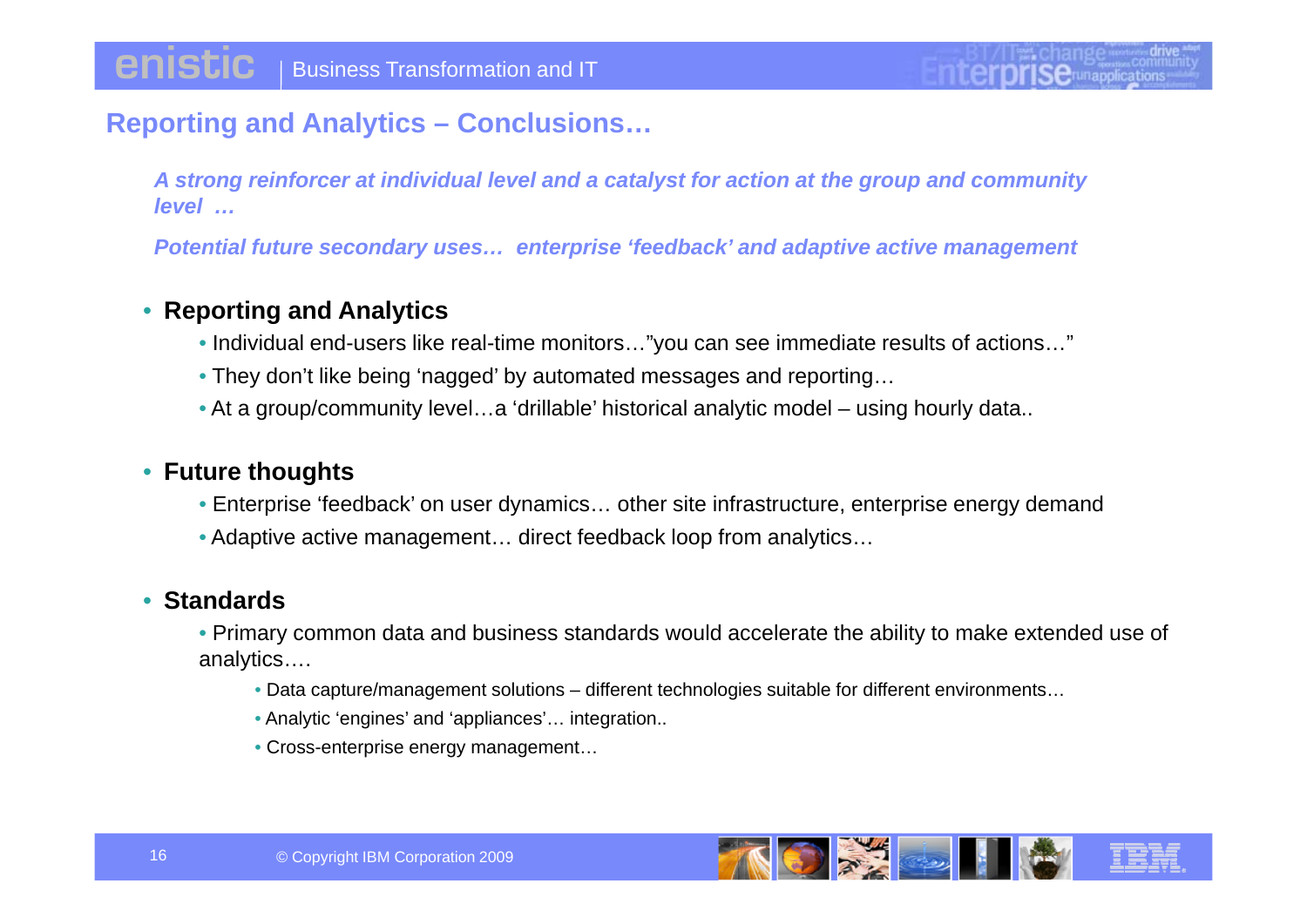### **Reporting and Analytics – Conclusions…**

*A strong reinforcer at individual level and a catalyst for action at the group and community level …*

Potential future secondary uses... enterprise 'feedback' and adaptive active management

#### • **Reporting and Analytics**

- Individual end-users like real-time monitors…"you can see immediate results of actions…"
- They don't like being 'nagged' by automated messages and reporting…
- At a group/community level…a 'drillable' historical analytic model using hourly data..

#### • **Future thoughts**

- Enterprise 'feedback' on user dynamics… other site infrastructure, enterprise energy demand
- Adaptive active management… direct feedback loop from analytics…

#### • **Standards**

• Primary common data and business standards would accelerate the ability to make extended use of analytics….

- Data capture/management solutions different technologies suitable for different environments…
- Analytic 'engines' and 'appliances'… integration..
- Cross-enterprise energy management…

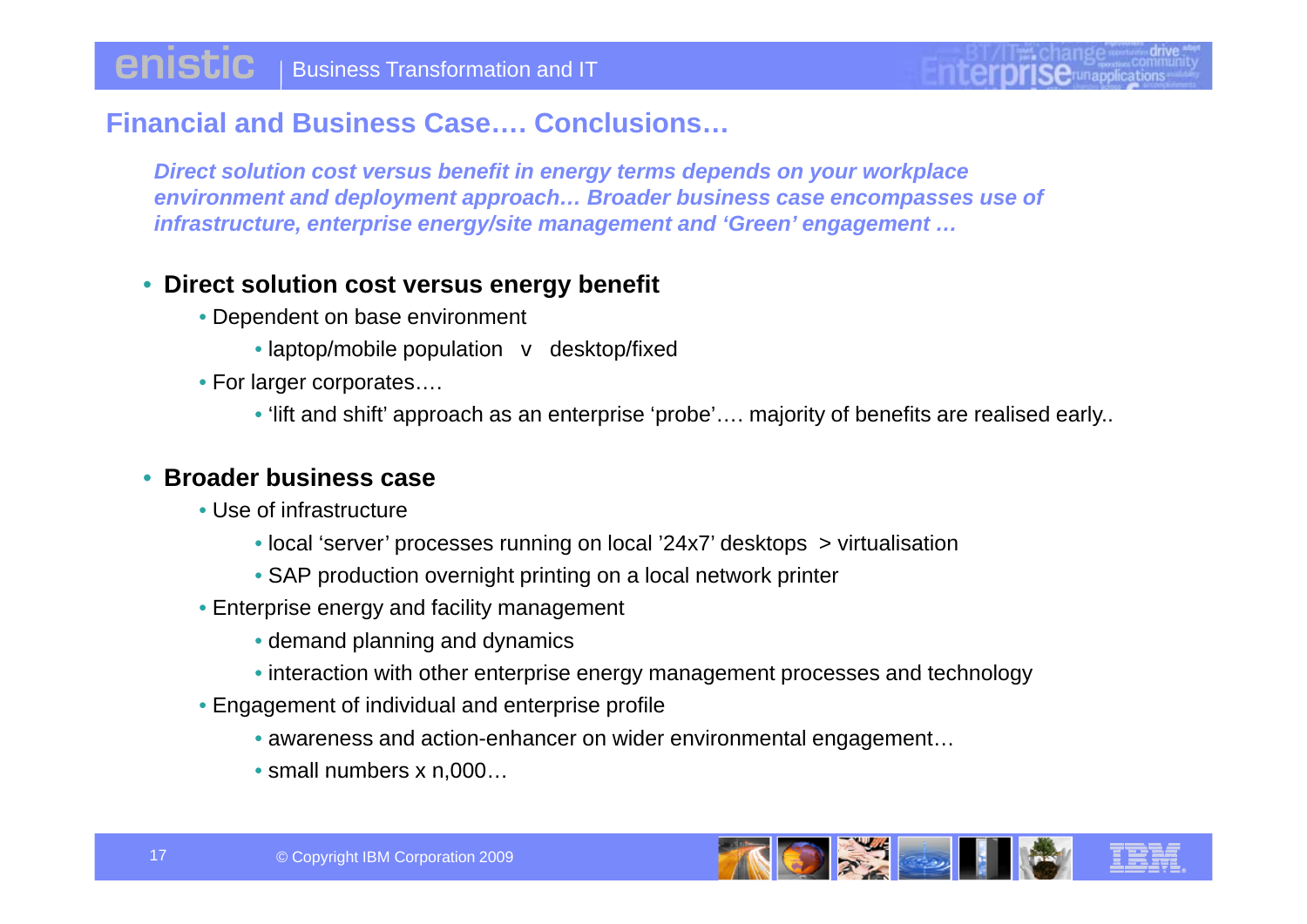### **Financial and Business Case…. Conclusions…**

*Direct solution cost versus benefit in energy terms depends on your workplace environment and deployment approach… Broader business case encompasses use of infrastructure, enterprise energy/site management and 'Green' engagement …*

#### • **Direct solution cost versus energy benefit**

- Dependent on base environment
	- $\bullet$  laptop/mobile population v desktop/fixed
- For larger corporates….
	- 'lift and shift' approach as an enterprise 'probe'…. majority of benefits are realised early..

#### • **Broader business case**

- Use of infrastructure
	- local 'server' processes running on local '24x7' desktops > virtualisation
	- SAP production overnight printing on a local network printer
- Enterprise energy and facility management
	- demand planning and dynamics
	- interaction with other enterprise energy management processes and technology
- Engagement of individual and enterprise profile
	- awareness and action-enhancer on wider environmental engagement...
	- $\bullet$  small numbers x n,000...

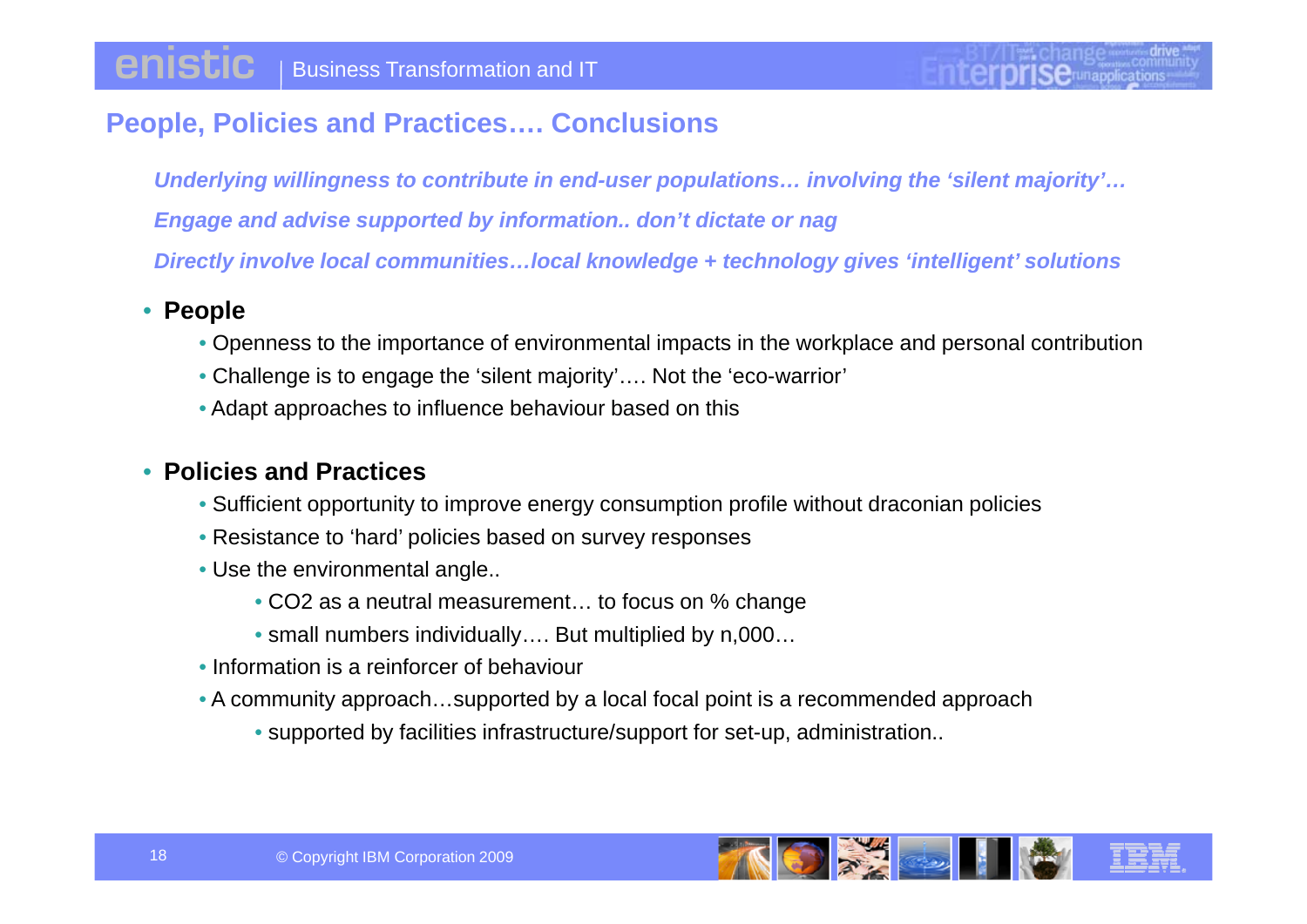# **People, Policies and Practices…. Conclusions**

*Underlying willingness to contribute in end-user populations… involving the 'silent majority'… Engage and advise supported by information.. don't dictate or nag Directly involve local communities…local knowledge + technology gives 'intelligent' solutions*

- **People**
	- Openness to the importance of environmental impacts in the workplace and personal contribution
	- Challenge is to engage the 'silent majority'…. Not the 'eco-warrior'
	- Adapt approaches to influence behaviour based on this

#### • **Policies and Practices**

- Sufficient opportunity to improve energy consumption profile without draconian policies
- Resistance to 'hard' policies based on survey responses
- $\bullet$  Use the environmental angle..
	- CO2 as a neutral measurement… to focus on % change
	- small numbers individually…. But multiplied by n,000…
- Information is a reinforcer of behaviour
- A community approach…supported by a local focal point is a recommended approach
	- supported by facilities infrastructure/support for set-up, administration..

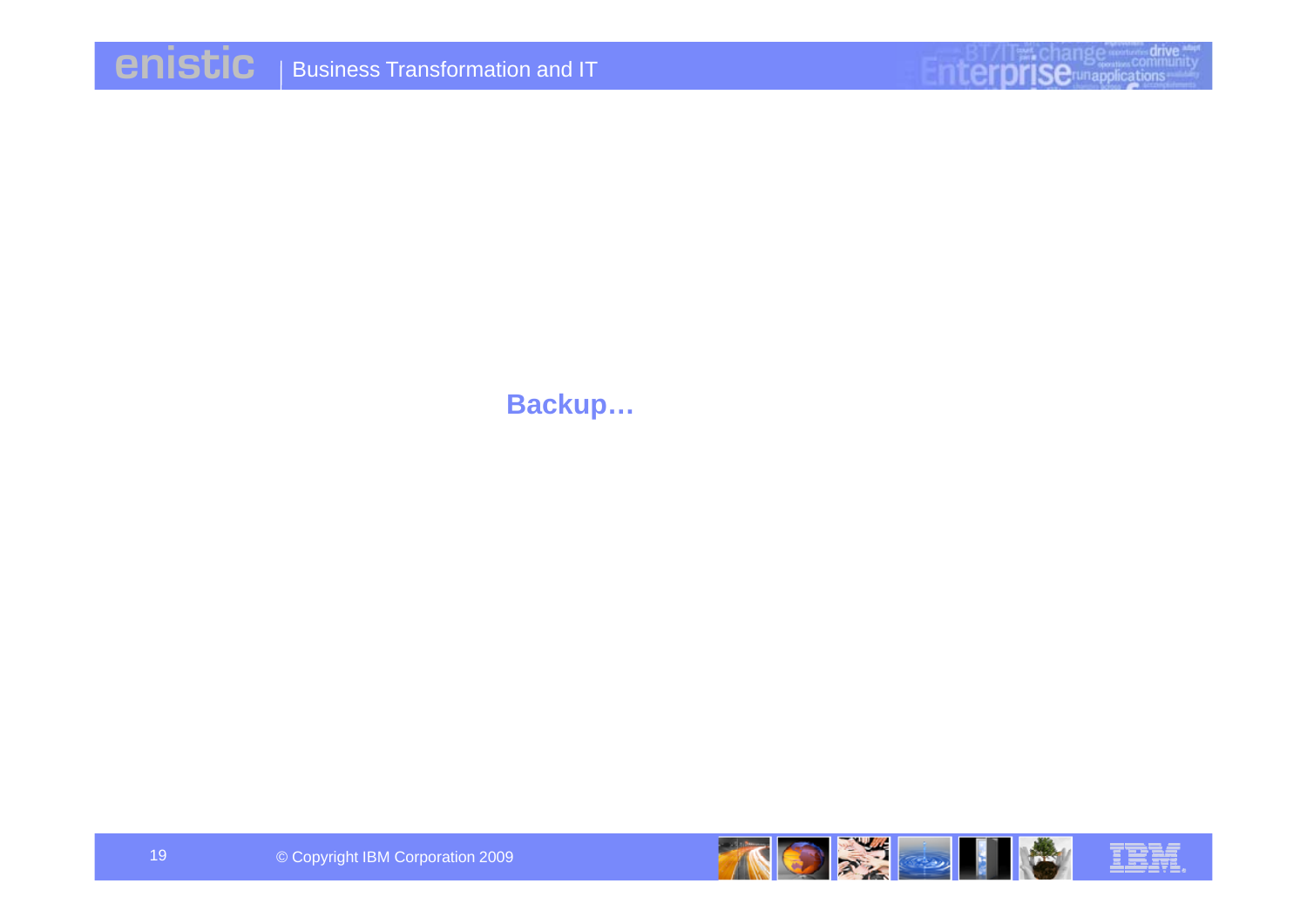# **Backup…**

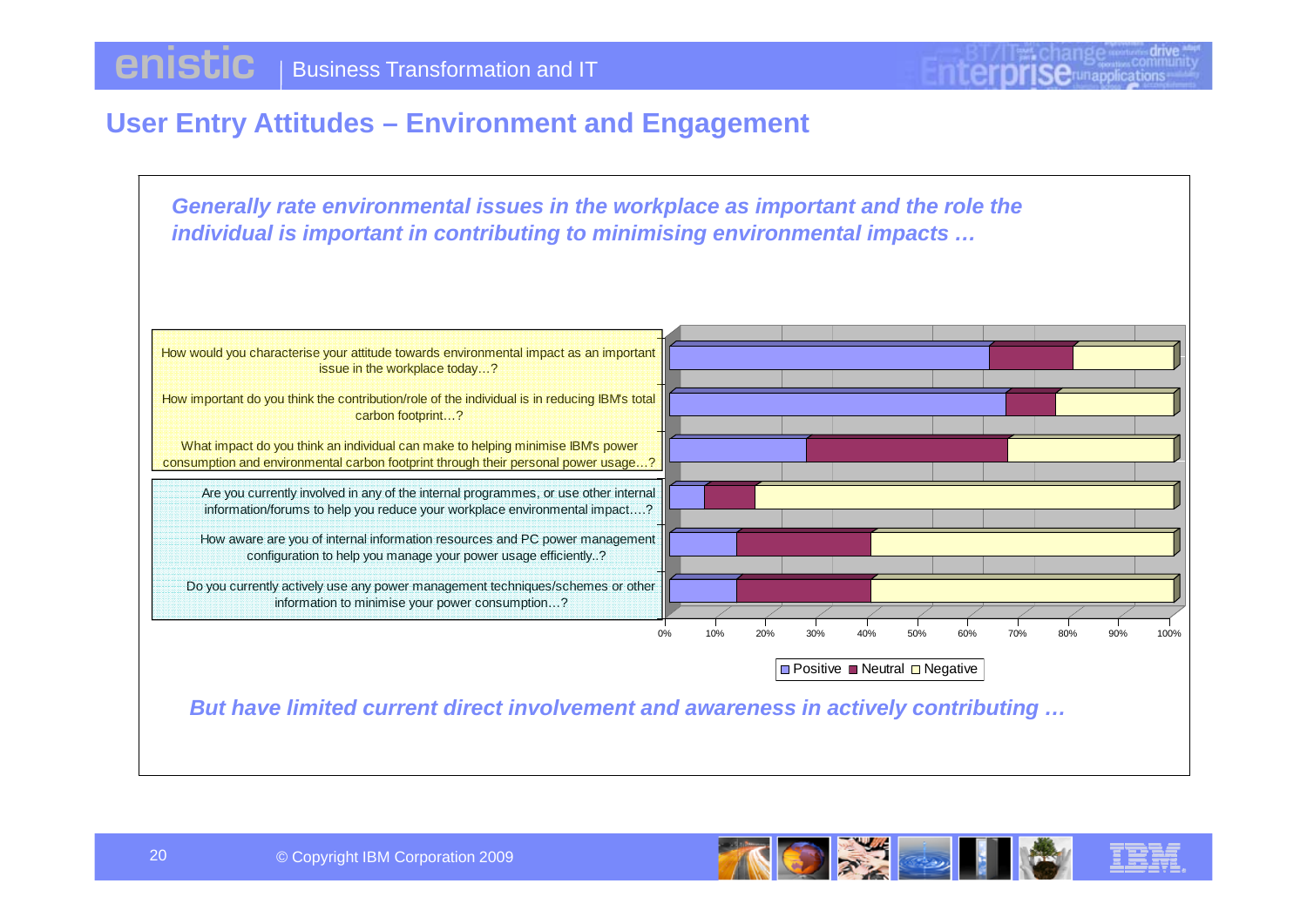### **User Entry Attitudes – Environment and Engagement**



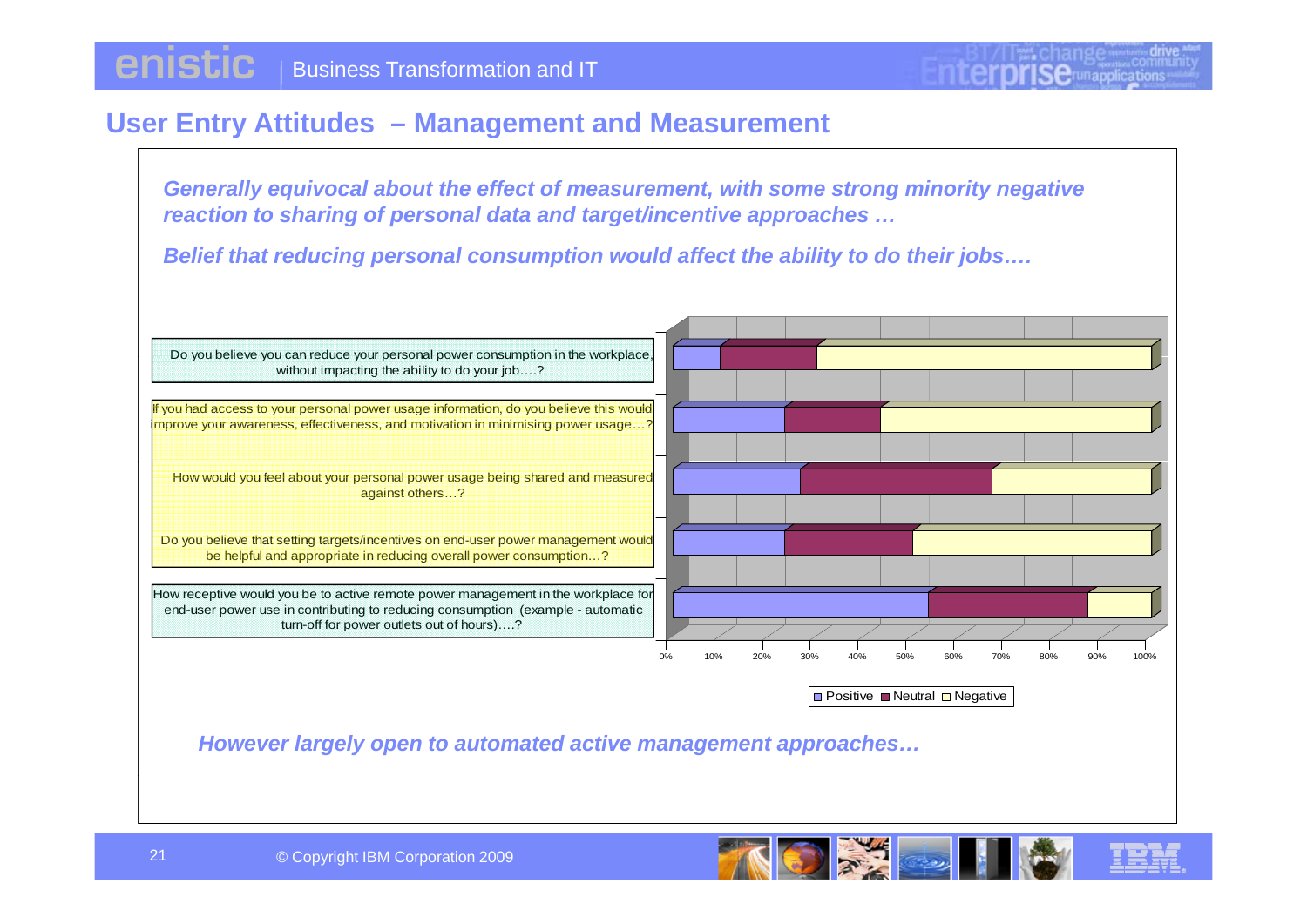#### **User Entry Attitudes – Management and Measurement**

*Generally equivocal about the effect of measurement, with some strong minority negative reaction to sharing of personal data and target/incentive approaches …*

Belief that reducing personal consumption would affect the ability to do their jobs....



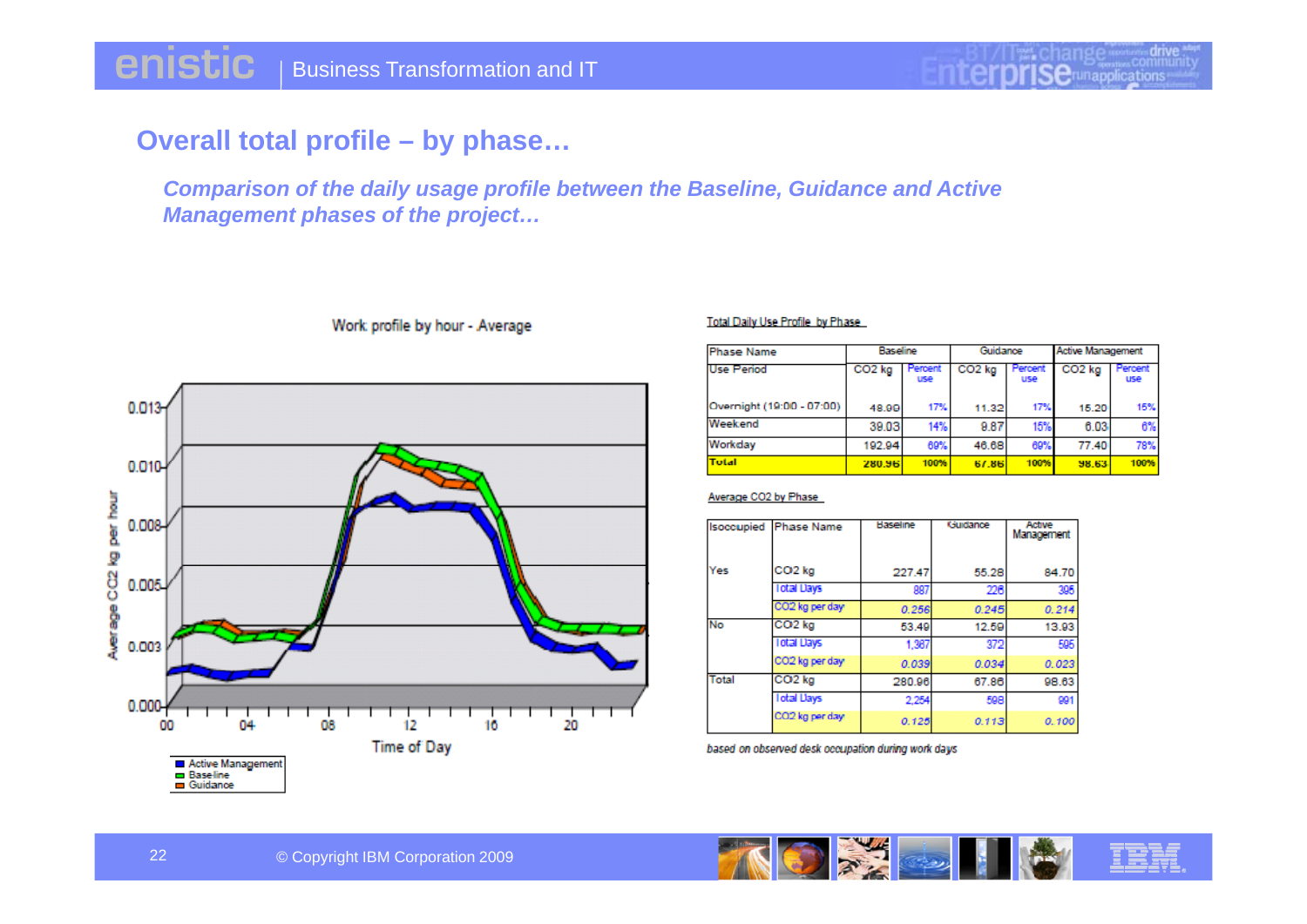# **Overall total profile – by phase…**

*Comparison of the daily usage profile between the Baseline, Guidance and Active Management phases of the project…*



#### Work profile by hour - Average

Total Daily Use Profile by Phase

| <b>Phase Name</b>         | Baseline |                       | Guidance |                | <b>Active Management</b> |                       |
|---------------------------|----------|-----------------------|----------|----------------|--------------------------|-----------------------|
| <b>Use Period</b>         | $CO2$ kg | Percent<br><b>use</b> | $CO2$ kg | Percent<br>use | $CO2$ kg                 | Percent<br><b>use</b> |
| Overnight (19:00 - 07:00) | 48.99    | 17%                   | 11.32    | 17%            | 15.20                    | 15%                   |
| Weekend                   | 39.03    | 14%                   | 9.87     | 15%            | 6.03 <sub>1</sub>        | 6%                    |
| Workday                   | 192.94   | 69%                   | 46.68    | 69%            | 77.40                    | 78%                   |
| <b>Total</b>              | 280.96   | 100%                  | 67.86    | 100%           | 98.63                    | 100%                  |

#### Average CO2 by Phase

|       | <b>Isoccupied Phase Name</b> | <b>Baseline</b> | Guidance | Active<br>Management |
|-------|------------------------------|-----------------|----------|----------------------|
| Yes   | CO <sub>2</sub> kg           | 227.47          | 55.28    | 84.70                |
|       | <b>Iotal Days</b>            | 887             | 226      | 395                  |
|       | CO2 kg per day               | 0.256           | 0.245    | 0.214                |
| No    | CO <sub>2</sub> kg           | 53.49           | 12.59    | 13.93                |
|       | <b>Total Days</b>            | 1,367           | 372      | 595                  |
|       | CO2 kg per day               | 0.039           | 0.034    | 0.023                |
| Total | $CO2$ kg                     | 280.96          | 67.86    | 98.63                |
|       | <b>Iotal Days</b>            | 2.254           | 598      | 991                  |
|       | CO2 kg per day               | 0.125           | 0.113    | 0.100                |

based on observed desk occupation during work days



22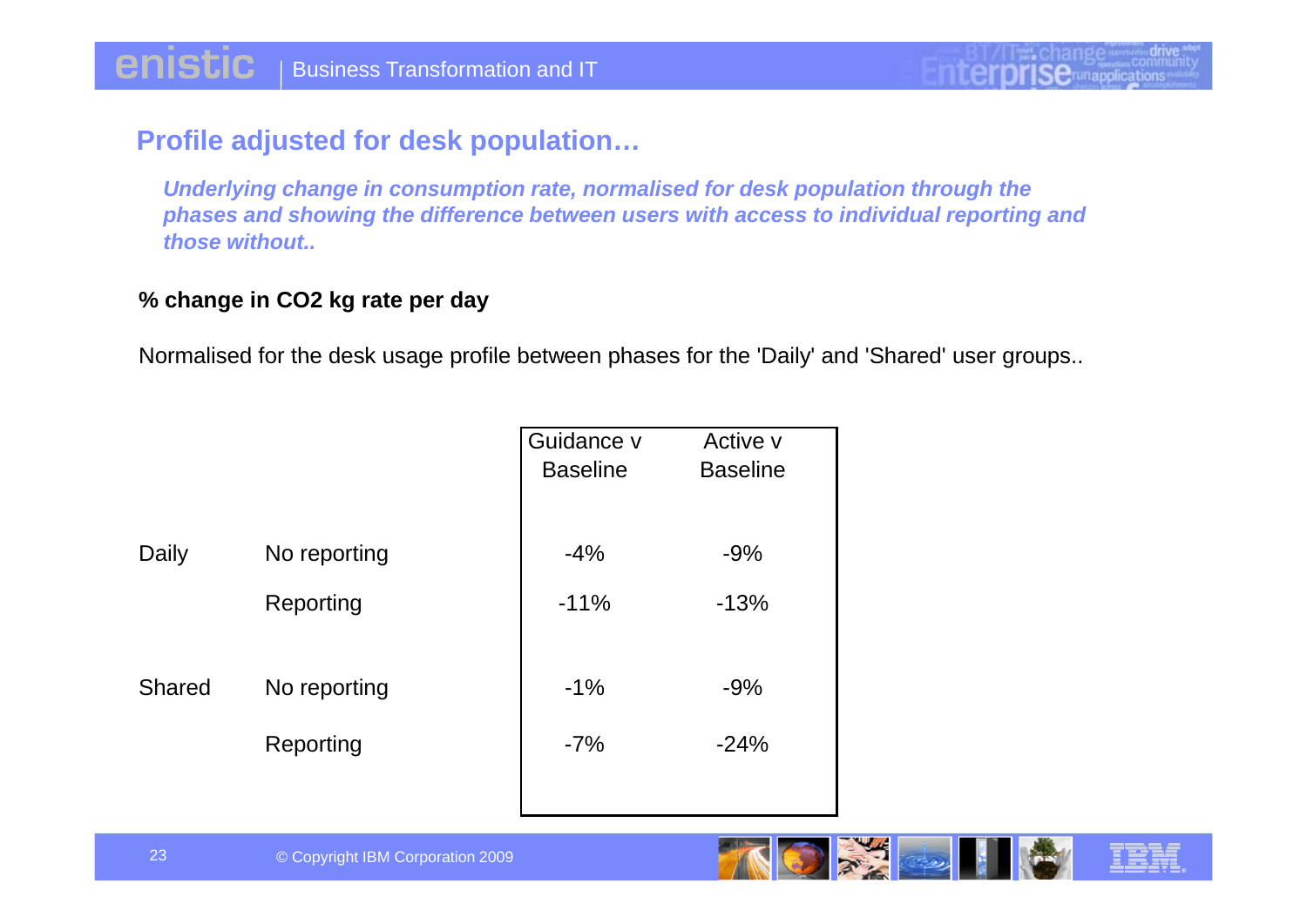# **Profile adjusted for desk population…**

*Underlying change in consumption rate, normalised for desk population through the phases and showing the difference between users with access to individual reporting and those without..*

#### **% change in CO2 kg rate per day**

Normalised for the desk usage profile between phases for the 'Daily' and 'Shared' user groups..

|        |              | Guidance v<br><b>Baseline</b> | Active v<br><b>Baseline</b> |
|--------|--------------|-------------------------------|-----------------------------|
| Daily  | No reporting | $-4%$                         | $-9%$                       |
|        | Reporting    | $-11%$                        | $-13%$                      |
| Shared | No reporting | $-1%$                         | $-9%$                       |
|        | Reporting    | $-7%$                         | $-24%$                      |
|        |              |                               |                             |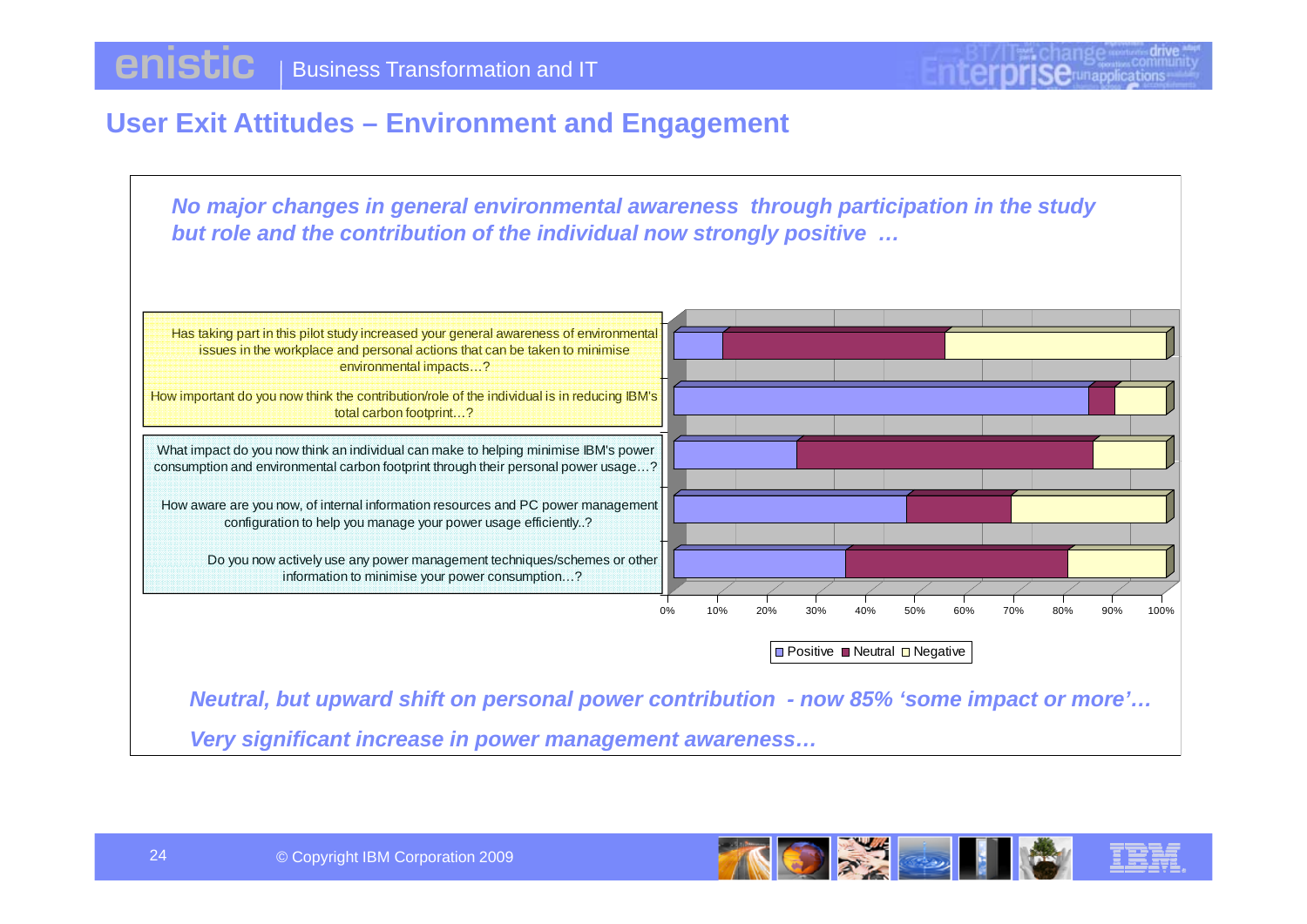### **User Exit Attitudes – Environment and Engagement**



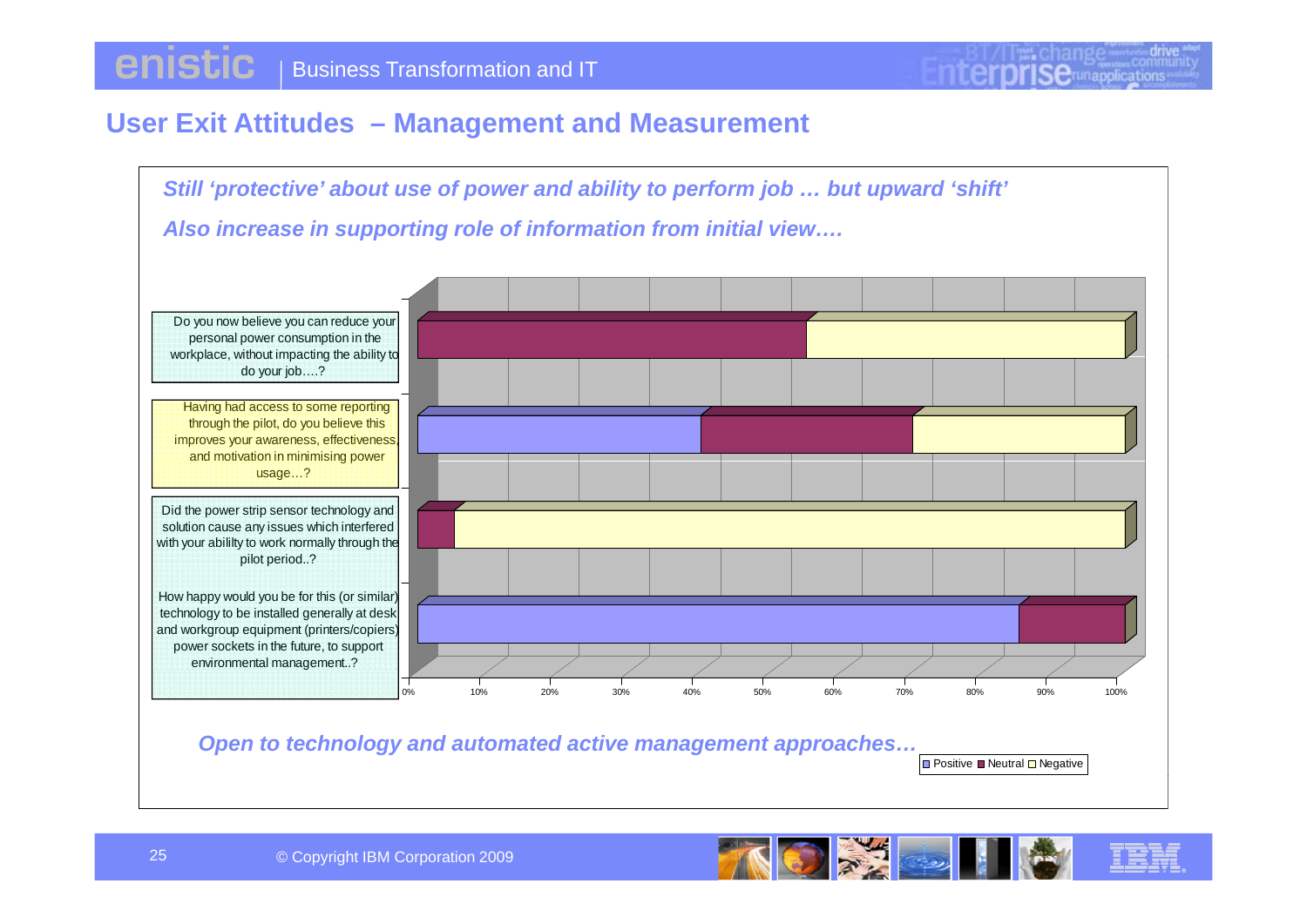#### **User Exit Attitudes – Management and Measurement**



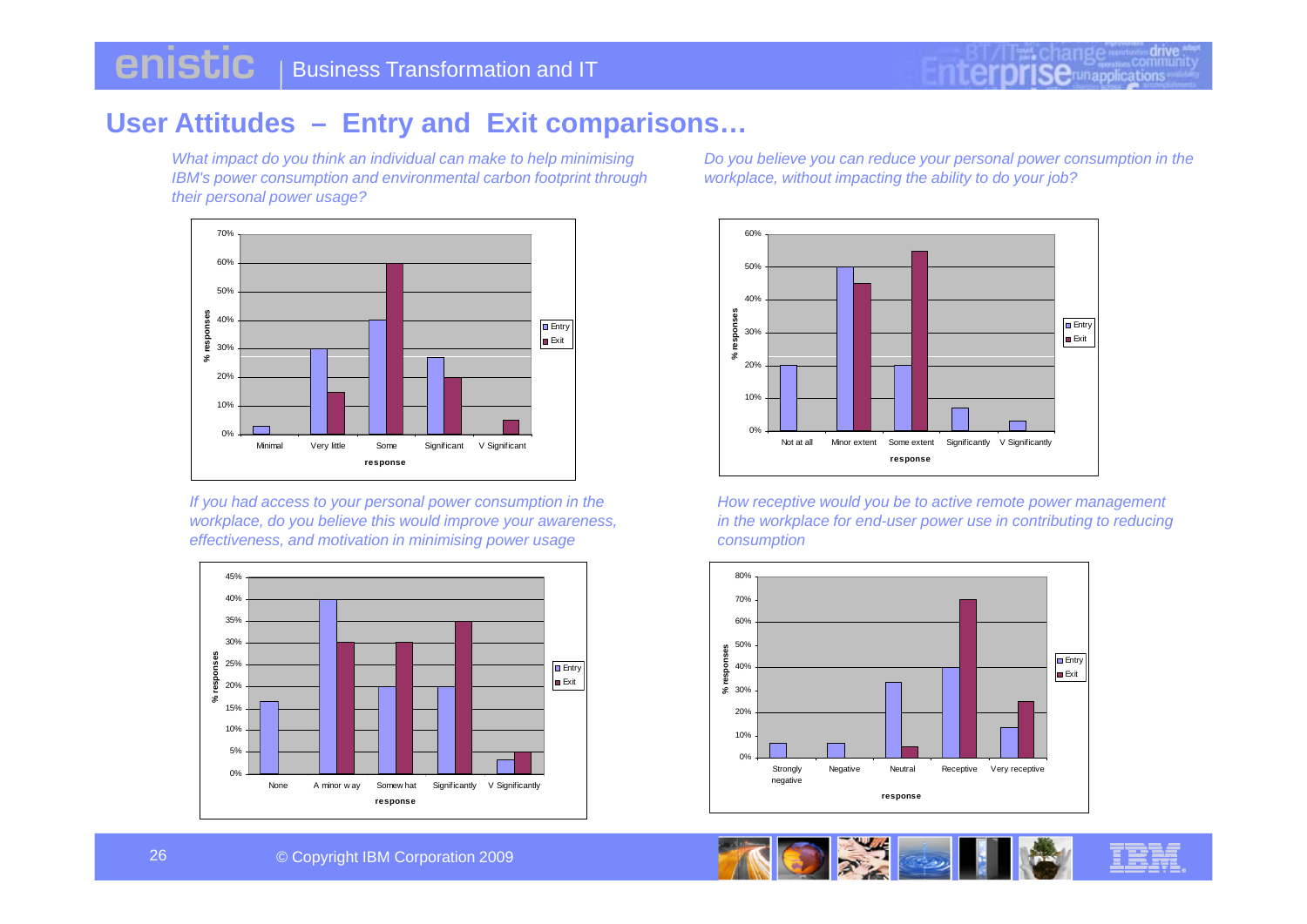# **User Attitudes – Entry and Exit comparisons…**

*What impact do you think an individual can make to help minimising IBM's power consumption and environmental carbon footprint through their personal power usage?* 

*Do you believe you can reduce your personal power consumption in the workplace, without impacting the ability to do your job?* 



*If you had access to your personal power consumption in the workplace, do you believe this would improve your awareness, effectiveness, and motivation in minimising power usage*





*How receptive would you be to active remote power management in the workplace for end-user power use in contributing to reducing consumption*





26